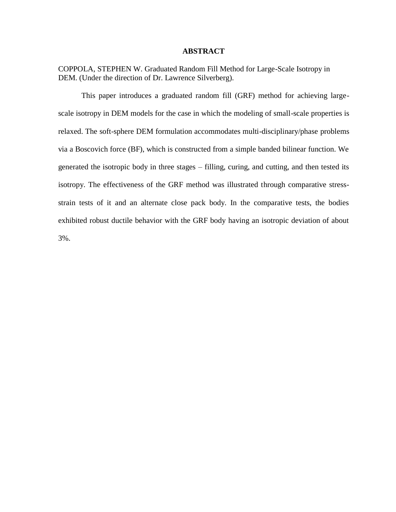### **ABSTRACT**

COPPOLA, STEPHEN W. Graduated Random Fill Method for Large-Scale Isotropy in DEM. (Under the direction of Dr. Lawrence Silverberg).

This paper introduces a graduated random fill (GRF) method for achieving largescale isotropy in DEM models for the case in which the modeling of small-scale properties is relaxed. The soft-sphere DEM formulation accommodates multi-disciplinary/phase problems via a Boscovich force (BF), which is constructed from a simple banded bilinear function. We generated the isotropic body in three stages – filling, curing, and cutting, and then tested its isotropy. The effectiveness of the GRF method was illustrated through comparative stressstrain tests of it and an alternate close pack body. In the comparative tests, the bodies exhibited robust ductile behavior with the GRF body having an isotropic deviation of about 3%.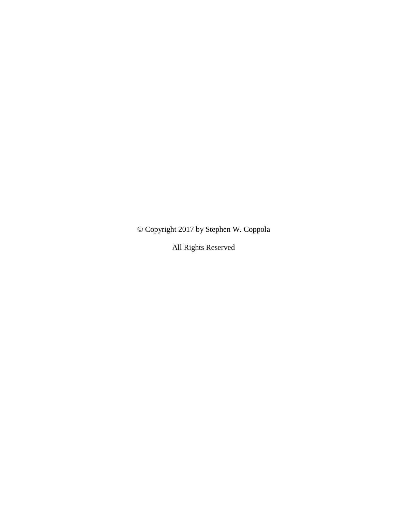© Copyright 2017 by Stephen W. Coppola

All Rights Reserved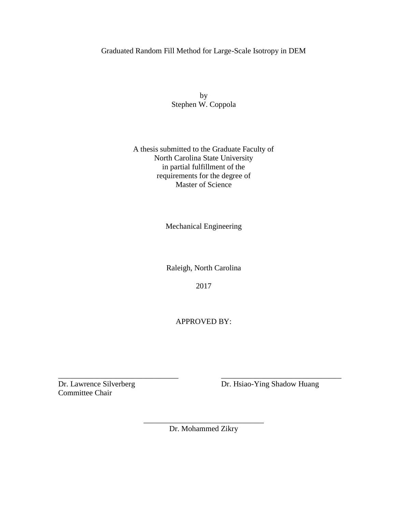## Graduated Random Fill Method for Large-Scale Isotropy in DEM

by Stephen W. Coppola

## A thesis submitted to the Graduate Faculty of North Carolina State University in partial fulfillment of the requirements for the degree of Master of Science

Mechanical Engineering

Raleigh, North Carolina

2017

APPROVED BY:

Committee Chair

Dr. Lawrence Silverberg Dr. Hsiao-Ying Shadow Huang

\_\_\_\_\_\_\_\_\_\_\_\_\_\_\_\_\_\_\_\_\_\_\_\_\_\_\_\_\_\_\_ Dr. Mohammed Zikry

\_\_\_\_\_\_\_\_\_\_\_\_\_\_\_\_\_\_\_\_\_\_\_\_\_\_\_\_\_\_\_ \_\_\_\_\_\_\_\_\_\_\_\_\_\_\_\_\_\_\_\_\_\_\_\_\_\_\_\_\_\_\_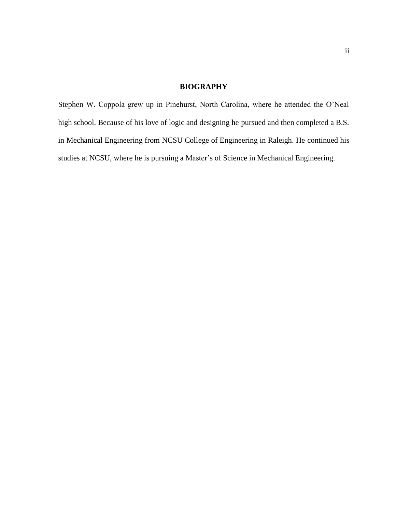## **BIOGRAPHY**

Stephen W. Coppola grew up in Pinehurst, North Carolina, where he attended the O'Neal high school. Because of his love of logic and designing he pursued and then completed a B.S. in Mechanical Engineering from NCSU College of Engineering in Raleigh. He continued his studies at NCSU, where he is pursuing a Master's of Science in Mechanical Engineering.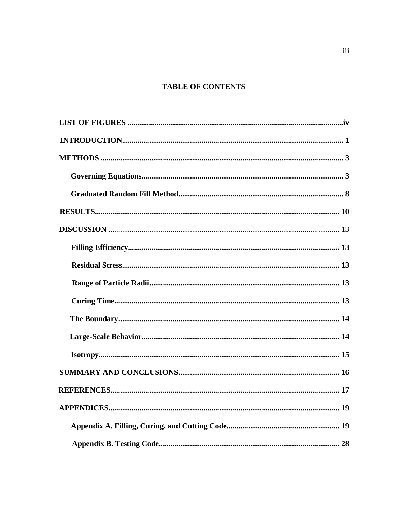# **TABLE OF CONTENTS**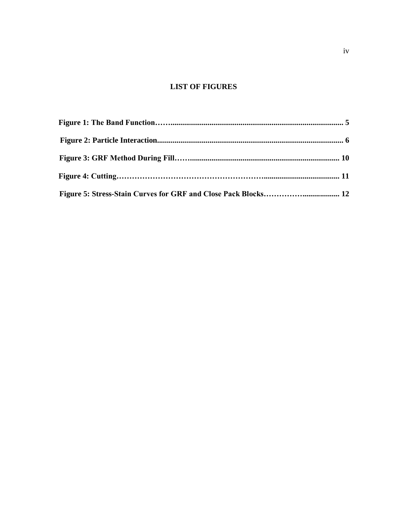# **LIST OF FIGURES**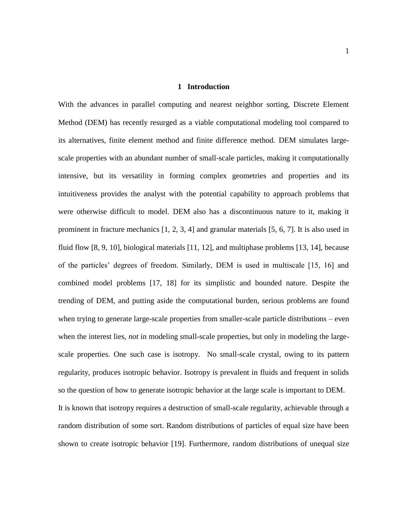#### **1 Introduction**

With the advances in parallel computing and nearest neighbor sorting, Discrete Element Method (DEM) has recently resurged as a viable computational modeling tool compared to its alternatives, finite element method and finite difference method. DEM simulates largescale properties with an abundant number of small-scale particles, making it computationally intensive, but its versatility in forming complex geometries and properties and its intuitiveness provides the analyst with the potential capability to approach problems that were otherwise difficult to model. DEM also has a discontinuous nature to it, making it prominent in fracture mechanics [1, 2, 3, 4] and granular materials [5, 6, 7]. It is also used in fluid flow [8, 9, 10], biological materials [11, 12], and multiphase problems [13, 14], because of the particles' degrees of freedom. Similarly, DEM is used in multiscale [15, 16] and combined model problems [17, 18] for its simplistic and bounded nature. Despite the trending of DEM, and putting aside the computational burden, serious problems are found when trying to generate large-scale properties from smaller-scale particle distributions – even when the interest lies, *not* in modeling small-scale properties, but only in modeling the largescale properties. One such case is isotropy. No small-scale crystal, owing to its pattern regularity, produces isotropic behavior. Isotropy is prevalent in fluids and frequent in solids so the question of how to generate isotropic behavior at the large scale is important to DEM.

It is known that isotropy requires a destruction of small-scale regularity, achievable through a random distribution of some sort. Random distributions of particles of equal size have been shown to create isotropic behavior [19]. Furthermore, random distributions of unequal size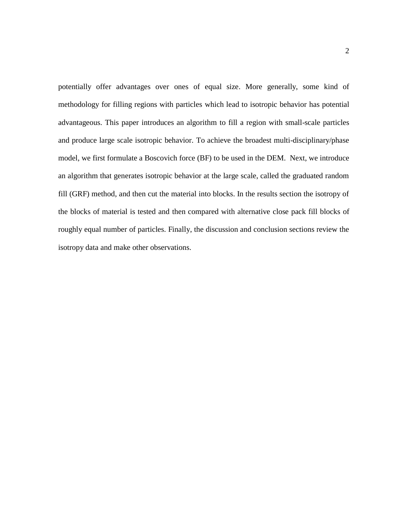potentially offer advantages over ones of equal size. More generally, some kind of methodology for filling regions with particles which lead to isotropic behavior has potential advantageous. This paper introduces an algorithm to fill a region with small-scale particles and produce large scale isotropic behavior. To achieve the broadest multi-disciplinary/phase model, we first formulate a Boscovich force (BF) to be used in the DEM. Next, we introduce an algorithm that generates isotropic behavior at the large scale, called the graduated random fill (GRF) method, and then cut the material into blocks. In the results section the isotropy of the blocks of material is tested and then compared with alternative close pack fill blocks of roughly equal number of particles. Finally, the discussion and conclusion sections review the isotropy data and make other observations.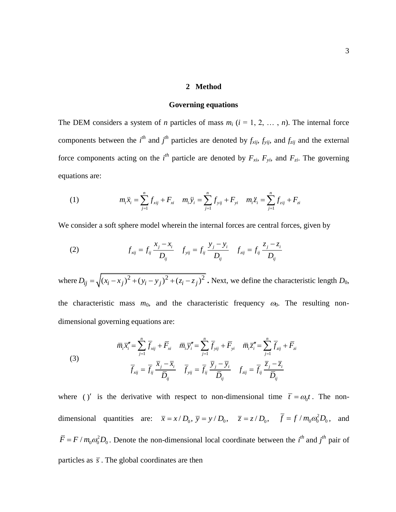## **2 Method**

#### **Governing equations**

The DEM considers a system of *n* particles of mass  $m_i$  ( $i = 1, 2, ..., n$ ). The internal force components between the *i*<sup>th</sup> and *j*<sup>th</sup> particles are denoted by  $f_{xij}$ ,  $f_{yij}$ , and  $f_{zij}$  and the external force components acting on the *i*<sup>th</sup> particle are denoted by  $F_{xi}$ ,  $F_{yi}$ , and  $F_{zi}$ . The governing equations are:

ations are:  
\n(1) 
$$
m_i \ddot{x}_i = \sum_{j=1}^n f_{xij} + F_{xi} \quad m_i \ddot{y}_i = \sum_{j=1}^n f_{yij} + F_{yi} \quad m_i \ddot{z}_i = \sum_{j=1}^n f_{zij} + F_{zi}
$$

We consider a soft sphere model wherein the internal forces are central forces, given by  
\n(2) 
$$
f_{xij} = f_{ij} \frac{x_j - x_i}{D_{ij}} \quad f_{yij} = f_{ij} \frac{y_j - y_i}{D_{ij}} \quad f_{zij} = f_{ij} \frac{z_j - z_i}{D_{ij}}
$$

where  $D_{ij} = \sqrt{(x_i - x_j)^2 + (y_i - y_j)^2 + (z_i - z_j)^2}$ . Next, we define the characteristic length *D*<sub>0</sub>, the characteristic mass  $m_0$ , and the characteristic frequency  $\omega_0$ . The resulting nondimensional governing equations are:

nensional governing equations are:  
\n
$$
\overline{m}_i \overline{x}_i'' = \sum_{j=1}^n \overline{f}_{xij} + \overline{F}_{xi} \quad \overline{m}_i \overline{y}_i'' = \sum_{j=1}^n \overline{f}_{yij} + \overline{F}_{yi} \quad \overline{m}_i \overline{z}_i'' = \sum_{j=1}^n \overline{f}_{zij} + \overline{F}_{zi}
$$
\n(3)  
\n
$$
\overline{f}_{xij} = \overline{f}_{ij} \frac{\overline{x}_j - \overline{x}_i}{\overline{D}_{ij}} \quad \overline{f}_{yij} = \overline{f}_{ij} \frac{\overline{y}_j - \overline{y}_i}{\overline{D}_{ij}} \quad f_{zij} = \overline{f}_{ij} \frac{\overline{z}_j - \overline{z}_i}{\overline{D}_{ij}}
$$

where ()' is the derivative with respect to non-dimensional time  $\bar{t} = \omega_0 t$ . The nondimensional quantities are:  $\bar{x} = x/D_0$ ,  $\bar{y} = y/D_0$ ,  $\bar{z} = z/D_0$ ,  $\bar{f} = f/m_0\omega_0^2D_0$ , and  $\overline{F} = F / m_0 \omega_0^2 D_0$ . Denote the non-dimensional local coordinate between the *i*<sup>th</sup> and *j*<sup>th</sup> pair of particles as  $\bar{s}$ . The global coordinates are then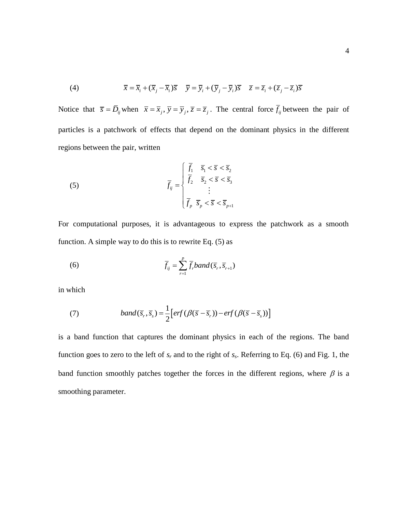(4) 
$$
\overline{x} = \overline{x}_i + (\overline{x}_j - \overline{x}_i)\overline{s} \quad \overline{y} = \overline{y}_i + (\overline{y}_j - \overline{y}_i)\overline{s} \quad \overline{z} = \overline{z}_i + (\overline{z}_j - \overline{z}_i)\overline{s}
$$

Notice that  $\bar{s} = \bar{D}_{ij}$  when  $\bar{x} = \bar{x}_j$ ,  $\bar{y} = \bar{y}_j$ ,  $\bar{z} = \bar{z}_j$ . The central force  $\bar{f}_{ij}$  between the pair of particles is a patchwork of effects that depend on the dominant physics in the different regions between the pair, written

(5) 
$$
\overline{f}_{ij} = \begin{cases} \overline{f}_1 & \overline{s}_1 < \overline{s} < \overline{s}_2 \\ \overline{f}_2 & \overline{s}_2 < \overline{s} < \overline{s}_3 \\ \vdots & \vdots \\ \overline{f}_p & \overline{s}_p < \overline{s} < \overline{s}_{p+1} \end{cases}
$$

For computational purposes, it is advantageous to express the patchwork as a smooth function. A simple way to do this is to rewrite Eq. (5) as

(6) 
$$
\overline{f}_{ij} = \sum_{r=1}^{p} \overline{f}_r band(\overline{s}_r, \overline{s}_{r+1})
$$

in which

(7) 
$$
band(\overline{s}_r, \overline{s}_s) = \frac{1}{2} [erf(\beta(\overline{s} - \overline{s}_r)) - erf(\beta(\overline{s} - \overline{s}_s))]
$$

is a band function that captures the dominant physics in each of the regions. The band function goes to zero to the left of  $s_r$  and to the right of  $s_s$ . Referring to Eq. (6) and Fig. 1, the band function smoothly patches together the forces in the different regions, where  $\beta$  is a smoothing parameter.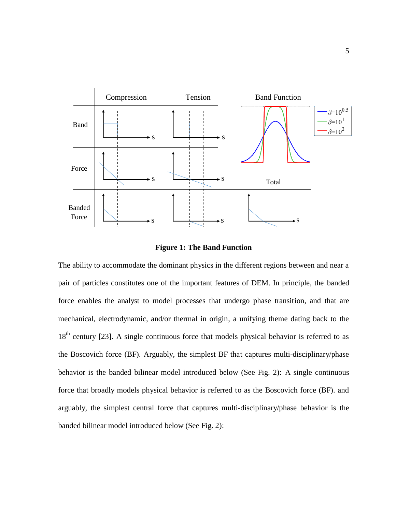

**Figure 1: The Band Function**

The ability to accommodate the dominant physics in the different regions between and near a pair of particles constitutes one of the important features of DEM. In principle, the banded force enables the analyst to model processes that undergo phase transition, and that are mechanical, electrodynamic, and/or thermal in origin, a unifying theme dating back to the  $18<sup>th</sup>$  century [23]. A single continuous force that models physical behavior is referred to as the Boscovich force (BF). Arguably, the simplest BF that captures multi-disciplinary/phase behavior is the banded bilinear model introduced below (See Fig. 2): A single continuous force that broadly models physical behavior is referred to as the Boscovich force (BF). and arguably, the simplest central force that captures multi-disciplinary/phase behavior is the banded bilinear model introduced below (See Fig. 2):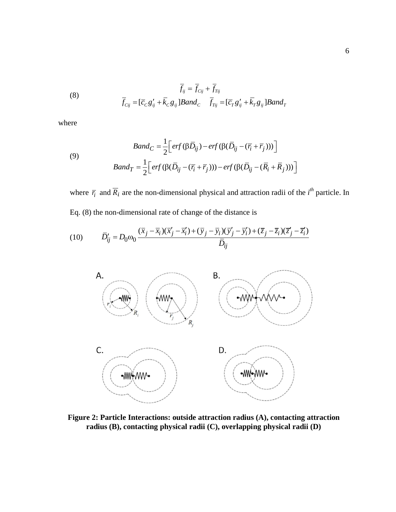(8) 
$$
\overline{f}_{ij} = \overline{f}_{Cij} + \overline{f}_{Tij}
$$

$$
\overline{f}_{Cij} = [\overline{c}_C g'_{ij} + \overline{k}_C g_{ij}] Band_C \quad \overline{f}_{Tij} = [\overline{c}_T g'_{ij} + \overline{k}_T g_{ij}] Band_T
$$

where

where  
\n
$$
Band_C = \frac{1}{2} \Big[ erf(\beta \overline{D}_{ij}) - erf(\beta (\overline{D}_{ij} - (\overline{r}_i + \overline{r}_j))) \Big]
$$
\n
$$
Band_T = \frac{1}{2} \Big[ erf(\beta (\overline{D}_{ij} - (\overline{r}_i + \overline{r}_j))) - erf(\beta (\overline{D}_{ij} - (\overline{R}_i + \overline{R}_j))) \Big]
$$

where  $\overline{r}_i$  and  $\overline{R}_i$  are the non-dimensional physical and attraction radii of the *i*<sup>th</sup> particle. In Eq. (8) the non-dimensional rate of change of the distance is

Eq. (8) the non-dimensional rate of change of the distance is  
\n(10) 
$$
\overline{D}'_{ij} = D_0 \omega_0 \frac{(\overline{x}_j - \overline{x}_i)(\overline{x}'_j - \overline{x}'_i) + (\overline{y}_j - \overline{y}_i)(\overline{y}'_j - \overline{y}'_i) + (\overline{z}_j - \overline{z}_i)(\overline{z}'_j - \overline{z}'_i)}{\overline{D}_{ij}}
$$



**Figure 2: Particle Interactions: outside attraction radius (A), contacting attraction radius (B), contacting physical radii (C), overlapping physical radii (D)**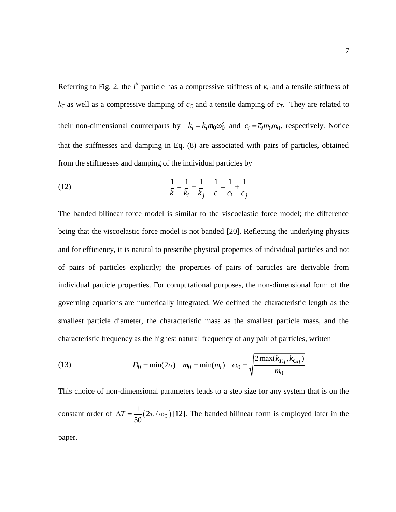Referring to Fig. 2, the  $i<sup>th</sup>$  particle has a compressive stiffness of  $k<sub>C</sub>$  and a tensile stiffness of  $k_T$  as well as a compressive damping of  $c_C$  and a tensile damping of  $c_T$ . They are related to their non-dimensional counterparts by  $k_i = \overline{k}_i m_0 \omega_0^2$  and  $c_i = \overline{c}_i m_0 \omega_0$ , respectively. Notice that the stiffnesses and damping in Eq. (8) are associated with pairs of particles, obtained from the stiffnesses and damping of the individual particles by

7

(12) 
$$
\frac{1}{\overline{k}} = \frac{1}{\overline{k}_i} + \frac{1}{\overline{k}_j} \quad \frac{1}{\overline{c}} = \frac{1}{\overline{c}_i} + \frac{1}{\overline{c}_j}
$$

The banded bilinear force model is similar to the viscoelastic force model; the difference being that the viscoelastic force model is not banded [20]. Reflecting the underlying physics and for efficiency, it is natural to prescribe physical properties of individual particles and not of pairs of particles explicitly; the properties of pairs of particles are derivable from individual particle properties. For computational purposes, the non-dimensional form of the governing equations are numerically integrated. We defined the characteristic length as the smallest particle diameter, the characteristic mass as the smallest particle mass, and the

characteristic frequency as the highest natural frequency of any pair of particles, written  
\n(13) 
$$
D_0 = \min(2r_i) \quad m_0 = \min(m_i) \quad \omega_0 = \sqrt{\frac{2 \max(k_{Tij}, k_{Cij})}{m_0}}
$$

This choice of non-dimensional parameters leads to a step size for any system that is on the constant order of  $\Delta T = \frac{1}{50} (2\pi/\omega_0)$  $\frac{1}{20}(2\pi)^{2}$ 50  $\Delta T = \frac{1}{2} (2\pi/\omega_0)$  [12]. The banded bilinear form is employed later in the paper.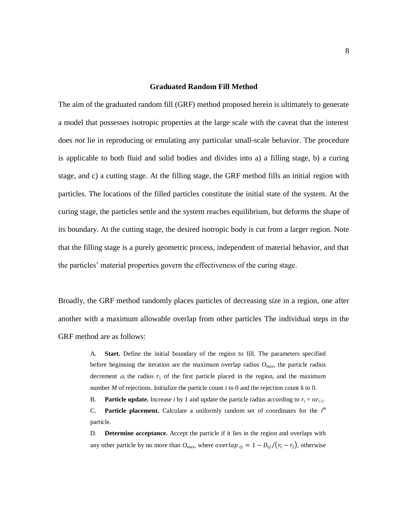## **Graduated Random Fill Method**

The aim of the graduated random fill (GRF) method proposed herein is ultimately to generate a model that possesses isotropic properties at the large scale with the caveat that the interest does *not* lie in reproducing or emulating any particular small-scale behavior. The procedure is applicable to both fluid and solid bodies and divides into a) a filling stage, b) a curing stage, and c) a cutting stage. At the filling stage, the GRF method fills an initial region with particles. The locations of the filled particles constitute the initial state of the system. At the curing stage, the particles settle and the system reaches equilibrium, but deforms the shape of its boundary. At the cutting stage, the desired isotropic body is cut from a larger region. Note that the filling stage is a purely geometric process, independent of material behavior, and that the particles' material properties govern the effectiveness of the curing stage.

Broadly, the GRF method randomly places particles of decreasing size in a region, one after another with a maximum allowable overlap from other particles The individual steps in the GRF method are as follows:

> A. **Start.** Define the initial boundary of the region to fill. The parameters specified before beginning the iteration are the maximum overlap radius  $O_{\text{max}}$ , the particle radius decrement  $\alpha$ , the radius  $r_1$  of the first particle placed in the region, and the maximum number *M* of rejections. Initialize the particle count *i* to 0 and the rejection count *k* to 0.

> B. **Particle update.** Increase *i* by 1 and update the particle radius according to  $r_i = \alpha r_{i-1}$ . C. **Particle placement.** Calculate a uniformly random set of coordinates for the  $i<sup>th</sup>$ particle.

> D. **Determine acceptance.** Accept the particle if it lies in the region and overlaps with any other particle by no more than  $O_{\text{max}}$ , where *overlap*  $_{ij} = 1 - D_{ij}/(r_i - r_j)$ , otherwise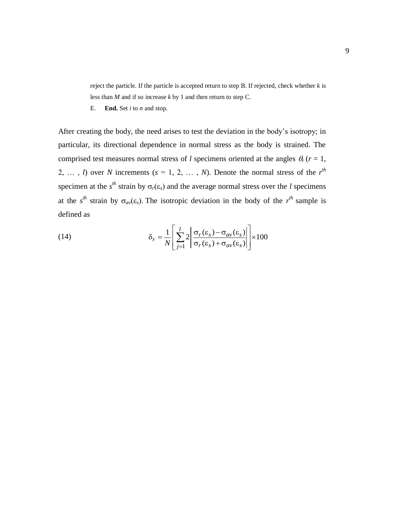reject the particle. If the particle is accepted return to step B. If rejected, check whether *k* is less than *M* and if so increase *k* by 1 and then return to step C.

E. **End.** Set *i* to *n* and stop.

After creating the body, the need arises to test the deviation in the body's isotropy; in particular, its directional dependence in normal stress as the body is strained. The comprised test measures normal stress of *l* specimens oriented at the angles  $\theta_r$  ( $r = 1$ , 2, ..., *l*) over *N* increments ( $s = 1, 2, ..., N$ ). Denote the normal stress of the  $r<sup>th</sup>$ specimen at the  $s<sup>th</sup>$  strain by  $\sigma_r(\varepsilon_s)$  and the average normal stress over the *l* specimens at the  $s^{th}$  strain by  $\sigma_{av}(\varepsilon_s)$ . The isotropic deviation in the body of the  $r^{th}$  sample is defined as

(14) 
$$
\delta_r = \frac{1}{N} \left[ \sum_{j=1}^{l} 2 \left| \frac{\sigma_r(\varepsilon_s) - \sigma_{av}(\varepsilon_s)}{\sigma_r(\varepsilon_s) + \sigma_{av}(\varepsilon_s)} \right| \right] \times 100
$$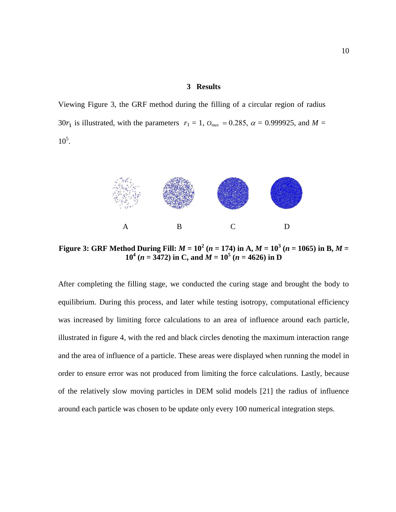## **3 Results**

Viewing Figure 3, the GRF method during the filling of a circular region of radius 30 $r_1$  is illustrated, with the parameters  $r_1 = 1$ ,  $O_{\text{max}} = 0.285$ ,  $\alpha = 0.999925$ , and  $M =$  $10^5$ .



**Figure 3: GRF Method During Fill:**  $M = 10^2$  ( $n = 174$ ) in A,  $M = 10^3$  ( $n = 1065$ ) in B,  $M =$ **10<sup>4</sup>** ( $n = 3472$ ) in C, and  $M = 10^5$  ( $n = 4626$ ) in D

After completing the filling stage, we conducted the curing stage and brought the body to equilibrium. During this process, and later while testing isotropy, computational efficiency was increased by limiting force calculations to an area of influence around each particle, illustrated in figure 4, with the red and black circles denoting the maximum interaction range and the area of influence of a particle. These areas were displayed when running the model in order to ensure error was not produced from limiting the force calculations. Lastly, because of the relatively slow moving particles in DEM solid models [21] the radius of influence around each particle was chosen to be update only every 100 numerical integration steps.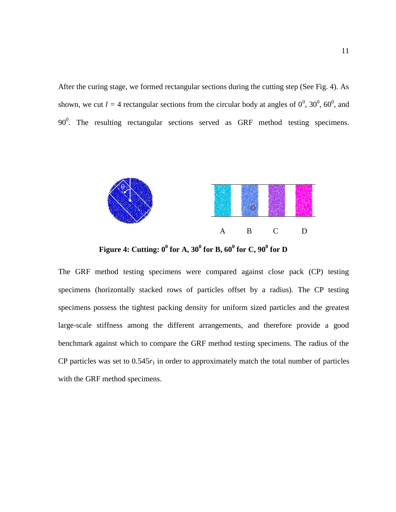After the curing stage, we formed rectangular sections during the cutting step (See Fig. 4). As shown, we cut  $l = 4$  rectangular sections from the circular body at angles of  $0^0$ ,  $30^0$ ,  $60^0$ , and  $90^0$ . The resulting rectangular sections served as GRF method testing specimens.



**Figure 4:** Cutting:  $0^0$  for A,  $30^0$  for B,  $60^0$  for C,  $90^0$  for D

The GRF method testing specimens were compared against close pack (CP) testing specimens (horizontally stacked rows of particles offset by a radius). The CP testing specimens possess the tightest packing density for uniform sized particles and the greatest large-scale stiffness among the different arrangements, and therefore provide a good benchmark against which to compare the GRF method testing specimens. The radius of the CP particles was set to  $0.545r_1$  in order to approximately match the total number of particles with the GRF method specimens.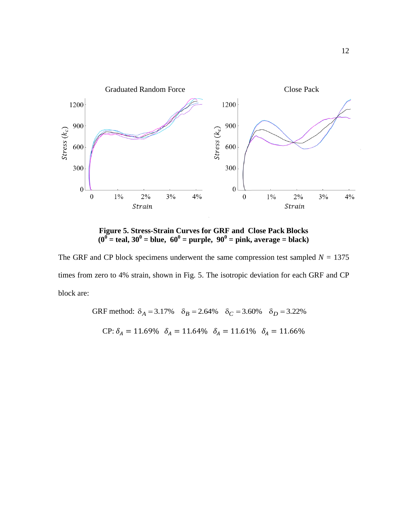

**Figure 5. Stress-Strain Curves for GRF and Close Pack Blocks**  $(0^0 = \text{teal}, 30^0 = \text{blue}, 60^0 = \text{purple}, 90^0 = \text{pink}, \text{average} = \text{black})$ 

The GRF and CP block specimens underwent the same compression test sampled  $N = 1375$ times from zero to 4% strain, shown in Fig. 5. The isotropic deviation for each GRF and CP block are:

GRF method:  $\delta_A = 3.17\%$   $\delta_B = 2.64\%$   $\delta_C = 3.60\%$   $\delta_D = 3.22\%$ CP:  $\delta_A = 11.69\%$   $\delta_A = 11.64\%$   $\delta_A = 11.61\%$   $\delta_A = 11.66\%$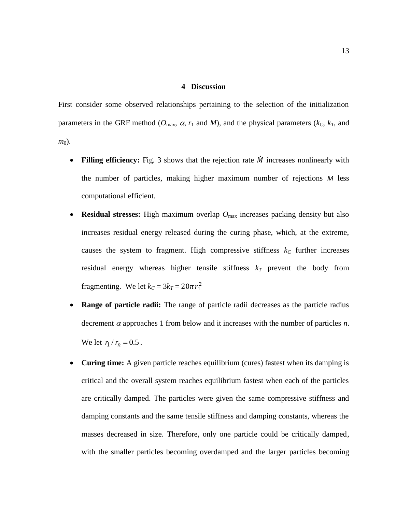### **4 Discussion**

First consider some observed relationships pertaining to the selection of the initialization parameters in the GRF method ( $O_{\text{max}}$ ,  $\alpha$ ,  $r_1$  and  $M$ ), and the physical parameters ( $k_C$ ,  $k_T$ , and *m*<sub>0</sub>).

- Filling efficiency: Fig. 3 shows that the rejection rate  $\dot{M}$  increases nonlinearly with the number of particles, making higher maximum number of rejections *M* less computational efficient.
- **Residual stresses:** High maximum overlap  $O_{\text{max}}$  increases packing density but also increases residual energy released during the curing phase, which, at the extreme, causes the system to fragment. High compressive stiffness  $k<sub>C</sub>$  further increases residual energy whereas higher tensile stiffness  $k_T$  prevent the body from fragmenting. We let  $k_C = 3k_T = 20\pi r_1^2$
- **Range of particle radii:** The range of particle radii decreases as the particle radius decrement  $\alpha$  approaches 1 from below and it increases with the number of particles *n*. We let  $r_1 / r_n = 0.5$ .
- **Curing time:** A given particle reaches equilibrium (cures) fastest when its damping is critical and the overall system reaches equilibrium fastest when each of the particles are critically damped. The particles were given the same compressive stiffness and damping constants and the same tensile stiffness and damping constants, whereas the masses decreased in size. Therefore, only one particle could be critically damped, with the smaller particles becoming overdamped and the larger particles becoming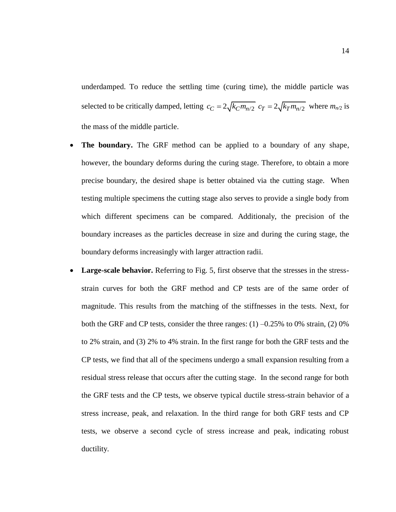underdamped. To reduce the settling time (curing time), the middle particle was selected to be critically damped, letting  $c_C = 2\sqrt{k_C m_{n/2}}$   $c_T = 2\sqrt{k_T m_{n/2}}$  where  $m_{n/2}$  is the mass of the middle particle.

- **The boundary.** The GRF method can be applied to a boundary of any shape, however, the boundary deforms during the curing stage. Therefore, to obtain a more precise boundary, the desired shape is better obtained via the cutting stage. When testing multiple specimens the cutting stage also serves to provide a single body from which different specimens can be compared. Additionaly, the precision of the boundary increases as the particles decrease in size and during the curing stage, the boundary deforms increasingly with larger attraction radii.
- Large-scale behavior. Referring to Fig. 5, first observe that the stresses in the stressstrain curves for both the GRF method and CP tests are of the same order of magnitude. This results from the matching of the stiffnesses in the tests. Next, for both the GRF and CP tests, consider the three ranges: (1) –0.25% to 0% strain, (2) 0% to 2% strain, and (3) 2% to 4% strain. In the first range for both the GRF tests and the CP tests, we find that all of the specimens undergo a small expansion resulting from a residual stress release that occurs after the cutting stage. In the second range for both the GRF tests and the CP tests, we observe typical ductile stress-strain behavior of a stress increase, peak, and relaxation. In the third range for both GRF tests and CP tests, we observe a second cycle of stress increase and peak, indicating robust ductility.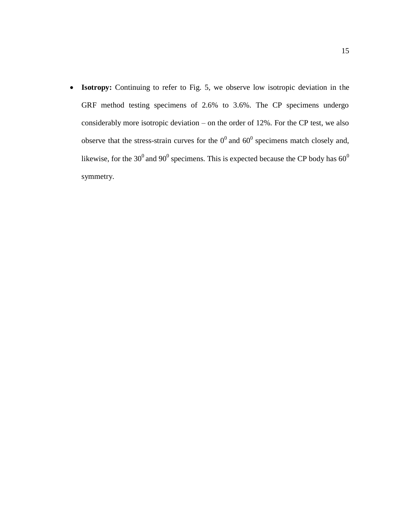**Isotropy:** Continuing to refer to Fig. 5, we observe low isotropic deviation in the GRF method testing specimens of 2.6% to 3.6%. The CP specimens undergo considerably more isotropic deviation – on the order of 12%. For the CP test, we also observe that the stress-strain curves for the  $0^0$  and  $60^0$  specimens match closely and, likewise, for the 30<sup>0</sup> and 90<sup>0</sup> specimens. This is expected because the CP body has 60<sup>0</sup> symmetry.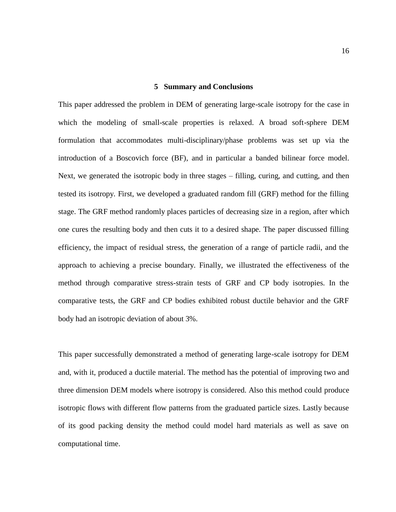#### **5 Summary and Conclusions**

This paper addressed the problem in DEM of generating large-scale isotropy for the case in which the modeling of small-scale properties is relaxed. A broad soft-sphere DEM formulation that accommodates multi-disciplinary/phase problems was set up via the introduction of a Boscovich force (BF), and in particular a banded bilinear force model. Next, we generated the isotropic body in three stages – filling, curing, and cutting, and then tested its isotropy. First, we developed a graduated random fill (GRF) method for the filling stage. The GRF method randomly places particles of decreasing size in a region, after which one cures the resulting body and then cuts it to a desired shape. The paper discussed filling efficiency, the impact of residual stress, the generation of a range of particle radii, and the approach to achieving a precise boundary. Finally, we illustrated the effectiveness of the method through comparative stress-strain tests of GRF and CP body isotropies. In the comparative tests, the GRF and CP bodies exhibited robust ductile behavior and the GRF body had an isotropic deviation of about 3%.

This paper successfully demonstrated a method of generating large-scale isotropy for DEM and, with it, produced a ductile material. The method has the potential of improving two and three dimension DEM models where isotropy is considered. Also this method could produce isotropic flows with different flow patterns from the graduated particle sizes. Lastly because of its good packing density the method could model hard materials as well as save on computational time.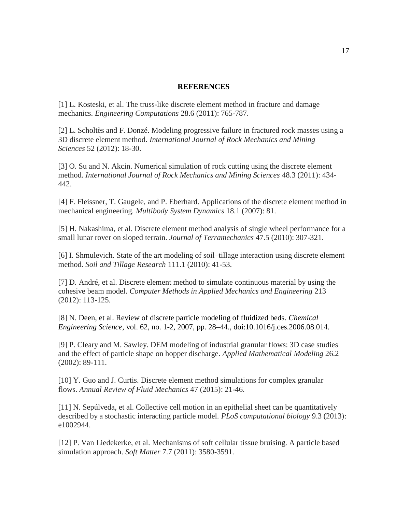### **REFERENCES**

[1] L. Kosteski, et al. The truss-like discrete element method in fracture and damage mechanics. *Engineering Computations* 28.6 (2011): 765-787.

[2] L. Scholtès and F. Donzé. Modeling progressive failure in fractured rock masses using a 3D discrete element method. *International Journal of Rock Mechanics and Mining Sciences* 52 (2012): 18-30.

[3] O. Su and N. Akcin. Numerical simulation of rock cutting using the discrete element method. *International Journal of Rock Mechanics and Mining Sciences* 48.3 (2011): 434- 442.

[4] F. Fleissner, T. Gaugele, and P. Eberhard. Applications of the discrete element method in mechanical engineering. *Multibody System Dynamics* 18.1 (2007): 81.

[5] H. Nakashima, et al. Discrete element method analysis of single wheel performance for a small lunar rover on sloped terrain. *Journal of Terramechanics* 47.5 (2010): 307-321.

[6] I. Shmulevich. State of the art modeling of soil–tillage interaction using discrete element method. *Soil and Tillage Research* 111.1 (2010): 41-53.

[7] D. André, et al. Discrete element method to simulate continuous material by using the cohesive beam model. *Computer Methods in Applied Mechanics and Engineering* 213 (2012): 113-125.

[8] N. Deen, et al. Review of discrete particle modeling of fluidized beds. *Chemical Engineering Science*, vol. 62, no. 1-2, 2007, pp. 28–44., doi:10.1016/j.ces.2006.08.014.

[9] P. Cleary and M. Sawley. DEM modeling of industrial granular flows: 3D case studies and the effect of particle shape on hopper discharge. *Applied Mathematical Modeling* 26.2 (2002): 89-111.

[10] Y. Guo and J. Curtis. Discrete element method simulations for complex granular flows. *Annual Review of Fluid Mechanics* 47 (2015): 21-46.

[11] N. Sepúlveda, et al. Collective cell motion in an epithelial sheet can be quantitatively described by a stochastic interacting particle model. *PLoS computational biology* 9.3 (2013): e1002944.

[12] P. Van Liedekerke, et al. Mechanisms of soft cellular tissue bruising. A particle based simulation approach. *Soft Matter* 7.7 (2011): 3580-3591.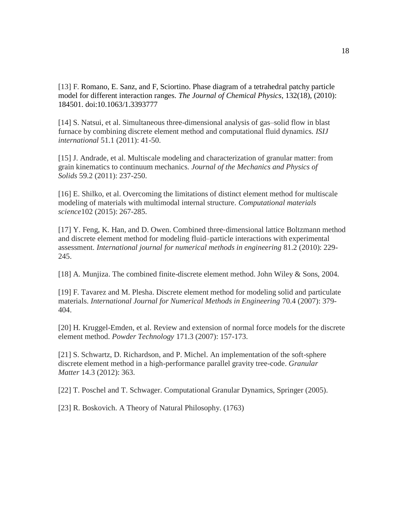[13] F. Romano, E. Sanz, and F, Sciortino. Phase diagram of a tetrahedral patchy particle model for different interaction ranges. *The Journal of Chemical Physics*, 132(18), (2010): 184501. doi:10.1063/1.3393777

[14] S. Natsui, et al. Simultaneous three-dimensional analysis of gas–solid flow in blast furnace by combining discrete element method and computational fluid dynamics. *ISIJ international* 51.1 (2011): 41-50.

[15] J. Andrade, et al. Multiscale modeling and characterization of granular matter: from grain kinematics to continuum mechanics. *Journal of the Mechanics and Physics of Solids* 59.2 (2011): 237-250.

[16] E. Shilko, et al. Overcoming the limitations of distinct element method for multiscale modeling of materials with multimodal internal structure. *Computational materials science*102 (2015): 267-285.

[17] Y. Feng, K. Han, and D. Owen. Combined three‐dimensional lattice Boltzmann method and discrete element method for modeling fluid–particle interactions with experimental assessment. *International journal for numerical methods in engineering* 81.2 (2010): 229- 245.

[18] A. Munjiza. The combined finite-discrete element method. John Wiley & Sons, 2004.

[19] F. Tavarez and M. Plesha. Discrete element method for modeling solid and particulate materials. *International Journal for Numerical Methods in Engineering* 70.4 (2007): 379- 404.

[20] H. Kruggel-Emden, et al. Review and extension of normal force models for the discrete element method. *Powder Technology* 171.3 (2007): 157-173.

[21] S. Schwartz, D. Richardson, and P. Michel. An implementation of the soft-sphere discrete element method in a high-performance parallel gravity tree-code. *Granular Matter* 14.3 (2012): 363.

[22] T. Poschel and T. Schwager. Computational Granular Dynamics, Springer (2005).

[23] R. Boskovich. A Theory of Natural Philosophy. (1763)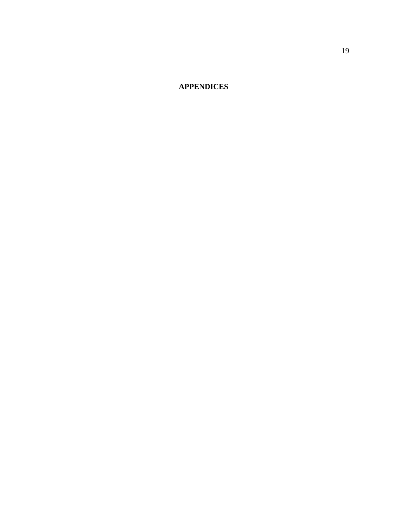**APPENDICES**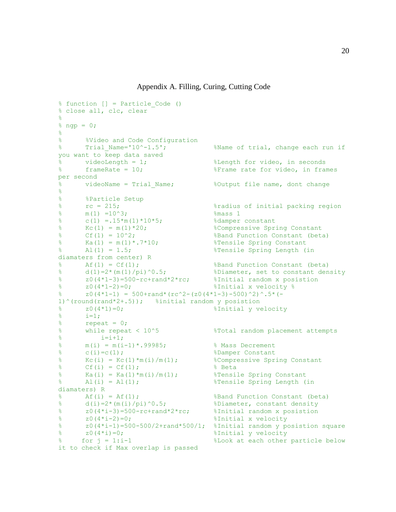```
% function [] = Particle_Code () 
% close all, clc, clear
\frac{8}{6}\text{g} ngp = 0;
% 
% %Video and Code Configuration<br>% Trial Name='10^-1.5';
% Trial_Name='10^-1.5'; %Name of trial, change each run if 
you want to keep data saved
% videoLength = 1; %Length for video, in seconds
% frameRate = 10; %Frame rate for video, in frames 
per second
% videoName = Trial_Name; %Output file name, dont change 
\frac{8}{6}% %Particle Setup 
% rc = 215; %radius of initial packing region
\frac{1}{2} m(1) =10^3; \frac{1}{2} \frac{1}{2} \frac{1}{2} \frac{1}{2} \frac{1}{2} \frac{1}{2} \frac{1}{2} \frac{1}{2} \frac{1}{2} \frac{1}{2} \frac{1}{2} \frac{1}{2} \frac{1}{2} \frac{1}{2} \frac{1}{2} \frac{1}{2} \frac{1}{2} \frac{1}{2} \frac{1}{2} \frac{1}{2}% c(1) = .15 \times m(1) \times 10 \times 5;<br>% Kc(1) = m(1) \times 20;
% Kc(1) = m(1)*20; %Compressive Spring Constant
% Cf(1) = 10^2; %Band Function Constant (beta)
% Ka(1) = m(1) * .7 * 10; %Tensile Spring Constant
% Al(1) = 1.5; %Tensile Spring Length (in 
diamaters from center) R
% Af(1) = Cf(1); %Band Function Constant (beta)<br>% d(1)=2*(m(1)/pi)^0.5; %Diameter, set to constant den
\frac{1}{2} d(1)=2*(m(1)/pi)^0.5; <br> 8Diameter, set to constant density
% z0(4*1-3)=500-rc+rand*2*rc; %Initial random x posistion 
% z(4*1-2)=0; \sum_{x=1}^{\infty} and \sum_{x=1}^{\infty} and \sum_{x=1}^{\infty} and \sum_{x=1}^{\infty} and \sum_{x=1}^{\infty} and \sum_{x=1}^{\infty} and \sum_{x=1}^{\infty} and \sum_{x=1}^{\infty} and \sum_{x=1}^{\infty} and \sum_{x=1}^{\infty} and \sum_{x=1}^{\infty} a
% z0(4*1-1) = 500+rand*(rc^2-(z0(4*1-3)-500)^2)^.5*(-
1)^(round(rand*2+.5)); %initial random y posistion
\frac{1}{2} \frac{1}{20} \frac{1}{20}; \frac{1}{20} \frac{1}{20} \frac{1}{20} \frac{1}{20} \frac{1}{20} \frac{1}{20} \frac{1}{20} \frac{1}{20} \frac{1}{20} \frac{1}{20} \frac{1}{20} \frac{1}{20} \frac{1}{20} \frac{1}{20} \frac{1}{20} \frac{1}{20} \frac{1}{20} \frac{1}{6} i=1;
% repeat = 0;% while repeat < 10^5 %Total random placement attempts
\frac{1}{2} i=i+1;
% m(i) = m(i-1) * .99985; % Mass Decrement
\frac{1}{2} c(i)=c(1); \frac{1}{2} example Constant
% Kc(i) = Kc(1) \text{Im}(i)/\text{m}(1); %Compressive Spring Constant
\text{Cf}(i) = \text{Cf}(1); \text{Beta}% Ka(i) = Ka(1) \starm(i) /m(1); %Tensile Spring Constant
% Al(i) = Al(1); %Tensile Spring Length (in 
diamaters) R
\text{A} & Af(i) = Af(1); \text{B} & \text{B} and Function Constant (beta)
\frac{1}{2} d(i)=2*(m(i)/pi)^0.5; <br> SDiameter, constant density
% z0(4*i-3)=500-rc+rand*2*rc; %Initial random x posistion 
\frac{1}{2} \frac{1}{4} \frac{1}{2} \frac{1}{2} \frac{1}{2} \frac{1}{2} \frac{1}{2} \frac{1}{2} \frac{1}{2} \frac{1}{2} \frac{1}{2} \frac{1}{2} \frac{1}{2} \frac{1}{2} \frac{1}{2} \frac{1}{2} \frac{1}{2} \frac{1}{2} \frac{1}{2} \frac{1}{2} \frac{1}{2} \frac{1}{2} % z0(4 \times i-1) = 500-500/2 + \text{rand*}500/1; %Initial random y posistion square
% z0(4*i)=0; %Initial y velocity 
% for j = 1:i-1 %Look at each other particle below 
it to check if Max overlap is passed
```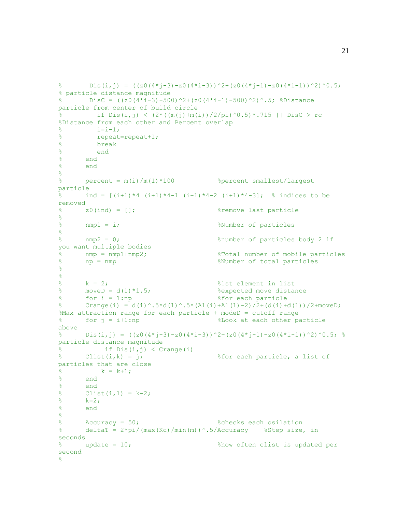```
% Dis(i,j) = ((z0(4*j-3)-z0(4*i-3))^2+(z0(4*j-1)-z0(4*i-1))^2)^0.5;
% particle distance magnitude
% DisC = ((z0(4+i-3)-500)^2+(z0(4+i-1)-500)^2).5; %Distance
particle from center of build circle
% if Dis(i, j) < (2^*((m(j) + m(i))/2/pi)^0.5)*.715 || DisC > rc
%Distance from each other and Percent overlap
\frac{1}{2} i=i-1;
% repeat=repeat+1;
% break
% end 
% end 
% end
% 
% percent = m(i)/m(1)*100 %percent smallest/largest 
particle
% ind = [(i+1)*4(i+1)*4-1(i+1)*4-2(i+1)*4-3]; % indices to be
removed
% z0(ind) = []; %remove last particle 
\frac{1}{6}% nmp1 = i; %Number of particles 
\frac{8}{6}% nmp2 = 0; %number of particles body 2 if 
you want multiple bodies
% nmp = nmp1+nmp2; %Total number of mobile particles
% np = nmp %Number of total particles
\frac{8}{3}\frac{8}{6}% k = 2; %1st element in list
% moveD = d(1)*1.5; %expected move distance
% for i = 1:np %for each particle
% Crange(i) = d(i)^.5*d(1)^.5*(Al(i)+Al(1)-2)/2+(d(i)+d(1))/2+moveD;
%Max attraction range for each particle + modeD = cutoff range
% for j = i+1:np %Look at each other particle 
above
% Dis(i,j) = ((z0(4*j-3)-z0(4*i-3))^2+(z0(4*j-1)-z0(4*i-1))^2)^0.5; %
particle distance magnitude
\frac{1}{2} if Dis(i,j) < Crange(i)
\frac{1}{2} Clist(i, k) = j; \frac{1}{2} Sfor each particle, a list of
particles that are close 
\frac{1}{8} k = k+1;
% end
% end
\{8 Clist(i, 1) = k-2;
% k=2;
% end
\frac{8}{3}% Accuracy = 50; %checks each osilation
% deltaT = 2*pi/ (max (Kc) /min(m)) ^.5/Accuracy %Step size, in
seconds 
% update = 10; %how often clist is updated per 
second
\approx
```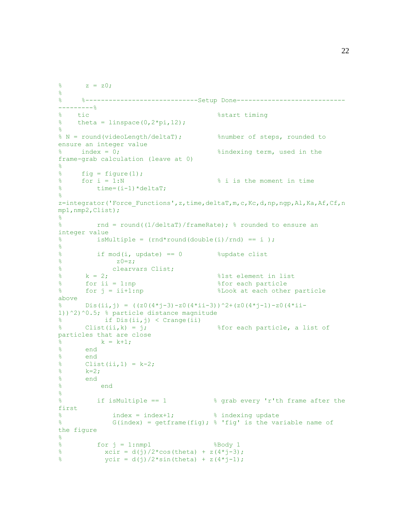```
\frac{6}{6} z = z0;
\frac{8}{3}% %--------------------------------Setup Done-----------------------------
---------%
% tic %start timing
% theta = linspace(0, 2 \star \text{pi}, 12);
\approx% N = round(videoLength/deltaT); %number of steps, rounded to 
ensure an integer value
% index = 0; %indexing term, used in the 
frame-grab calculation (leave at 0)
\approx% fig = figure(1);
% for i = 1:N % i is the moment in time
% time=(i-1)*deltaT;
\frac{8}{6}z=integrator('Force Functions',z,time,deltaT,m,c,Kc,d,np,ngp,Al,Ka,Af,Cf,n
mp1,nmp2,Clist);
\frac{6}{\sqrt{2}}% rnd = round((1/deltaT)/frameRate); % rounded to ensure an 
integer value
\frac{1}{8} isMultiple = (rnd*round(double(i)/rnd) == i);
% 
% if mod(i, update) == 0 %update clist
\approx z0=z;
% clearvars Clist;
% k = 2; %1st element in list
% for ii = 1:np %for each particle
% for j = ii+1:np %Look at each other particle 
above
% Dis(ii,j) = ((z0(4*j-3)-z0(4*ii-3))^2+(z0(4*j-1)-z0(4*ii-
1))^2)^0.5; % particle distance magnitude
% if Dis(ii,j) < Crange(ii)
\frac{1}{2} Clist(ii, k) = j; \frac{1}{2} Sfor each particle, a list of
particles that are close 
\frac{1}{6} k = k+1;
% end
% end
% Clist(ii, 1) = k-2;
\frac{1}{6} k=2;
% end
% end 
\approx% if isMultiple == 1 % grab every 'r'th frame after the 
first
% index = index+1; % indexing update
% G(index) = getframe(fig); % 'fig' is the variable name of 
the figure
\approx% for j = 1:nmp1 %Body 1
% xcir = d(j)/2 * cos(theta) + z(4 * j-3);% \text{ycir} = d(j)/2 * \sin(\text{theta}) + z(4 * j - 1);
```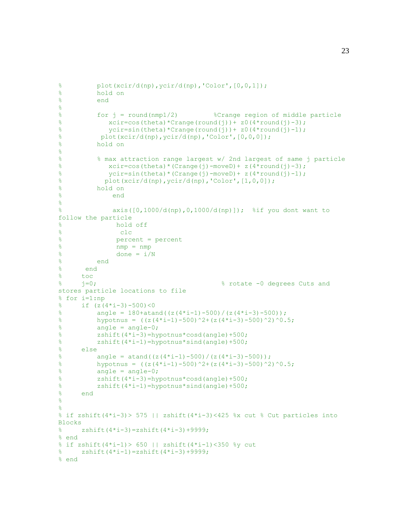```
% plot(xcir/d(np),ycir/d(np),'Color',[0,0,1]);
% hold on
% end
% 
% for j = round(nmp1/2) %Crange region of middle particle
% xcir=cos(theta)*Crange(round(j))+z0(4*round(j)-3);% \gamma \text{circ} = \text{sin}(\text{theta}) * \text{Crange}(\text{round}(j)) + z0(4 * \text{round}(j) - 1);% plot(xcir/d(np), ycir/d(np), 'Color', [0,0,0]);
% hold on
\frac{8}{6}% % max attraction range largest w/ 2nd largest of same j particle
% xcirc = cos(theta) * (Crange(j) - moveD) + z(4*round(j) -3);% \gamma \text{circ-sin}(\text{theta}^*) (Crange(j)-moveD)+ z(4*round(j)-1);
% plot(xcir/d(np),ycir/d(np),'Color',[1,0,0]);
% hold on
% end
\approx% axis([0,1000/d(np),0,1000/d(np)]); %if you dont want to 
follow the particle
% hold off 
% clc
% percent = percent
% nmp = nmp
\delta done = i/N
% end
% end
\begin{array}{ccc} \frac{8}{6} & \text{toc} \\ \frac{8}{6} & \frac{1}{1} = 0 \end{array}% j=0; % rotate -0 degrees Cuts and 
stores particle locations to file
% for i=1:np
\text{if} (z(4*i-3)-500)<0
% angle = 180 + \text{atand}((z(4 \times i-1)-500)/(z(4 \times i-3)-500));% hypotnus = ((z(4+i-1)-500)^2+(z(4+i-3)-500)^2)<sup>0</sup>.5;
% angle = angle-0;
% zshift(4*i-3)=hypotnus*cosd(angle)+500;
% zshift(4*i-1)=hypotnus*sind(angle)+500;
% else
% angle = atand ((z(4+i-1)-500)/(z(4+i-3)-500));
% hypotnus = ((z(4+i-1)-500)^2+2+(z(4+i-3)-500)^2)% angle = angle-0;
\frac{1}{2} zshift(4*i-3)=hypotnus*cosd(angle)+500;
% zshift(4*i-1)=hypotnus*sind(angle)+500;
% end 
\epsilon\approx% if zshift(4*i-3) > 575 || zshift(4*i-3) <425 %x cut % Cut particles into
Blocks
% zshift(4*i-3)=zshift(4*i-3)+9999;% end
% if zshift(4*i-1)> 650 || zshift(4*i-1)<350 %y cut
% zshift(4*i-1)=zshift(4*i-3)+9999;% end
```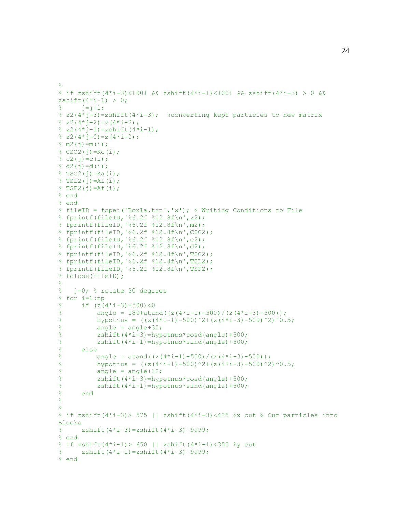```
% if zshift(4*i-3)<1001 && zshift(4*i-1)<1001 && zshift(4*i-3) > 0 && 
zshift(4 \times i - 1) > 0;
\frac{1}{6} \frac{1}{1} = \frac{1}{1} + 1;\frac{1}{2} z2(4*j-3)=zshift(4*i-3); \frac{1}{2} converting kept particles to new matrix
\frac{1}{6} z2(4*j-2)=z(4*i-2);
\text{ }8 \text{ }z2(4 \text{ * }j-1)=z\text{shift}(4 \text{ * }i-1);\frac{1}{6} z2(4*j-0)=z(4*i-0);
% m2(j) = m(i);SCSC2(j) = Kc(i);\frac{1}{6} c2(j)=c(i);
% d2(j)=d(i);$ TSC2(j) = Ka(i);$TSL2(j)=AL(i);$TSF2(j)=Af(i);% end
% end 
% fileID = fopen('Box1a.txt','w'); % Writing Conditions to File
% fprintf(fileID,'%6.2f %12.8f\n',z2);
% fprintf(fileID,'%6.2f %12.8f\n',m2);
% fprintf(fileID,'%6.2f %12.8f\n',CSC2);
% fprintf(fileID,'%6.2f %12.8f\n',c2);
% fprintf(fileID,'%6.2f %12.8f\n',d2);
% fprintf(fileID,'%6.2f %12.8f\n',TSC2);
% fprintf(fileID,'%6.2f %12.8f\n',TSL2);
% fprintf(fileID,'%6.2f %12.8f\n',TSF2);
% fclose(fileID);
\frac{8}{6}% j=0; % rotate 30 degrees 
% for i=1:np
\text{if} (z(4+i-3)-500) < 0% angle = 180 + \text{atand}((z(4 \times i-1)-500)/(z(4 \times i-3)-500));% hypotnus = ((z(4+i-1)-500)^2+(z(4+i-3)-500)^2)<sup>0.5;</sup>
% angle = angle+30;
% zshift(4*i-3)=hypotnus*cosd(angle)+500;
% zshift(4*i-1)=hypotnus*sind(angle)+500;
% else
% angle = atand ((z(4+i-1)-500)/(z(4+i-3)-500));
% hypotnus = ((z(4+i-1)-500)^2+2+(z(4+i-3)-500)^2)% angle = angle+30;
\frac{1}{2} zshift(4*i-3)=hypotnus*cosd(angle)+500;
% zshift(4*i-1)=hypotnus*sind(angle)+500;
% end 
\epsilon\approx% if zshift(4 \times i - 3) > 575 || zshift(4 \times i - 3) <425 %x cut % Cut particles into
Blocks
% zshift(4*i-3)=zshift(4*i-3)+9999;% end
% if zshift(4*i-1)> 650 || zshift(4*i-1)<350 %y cut
% zshift(4*i-1)=zshift(4*i-3)+9999;% end
```
 $\approx$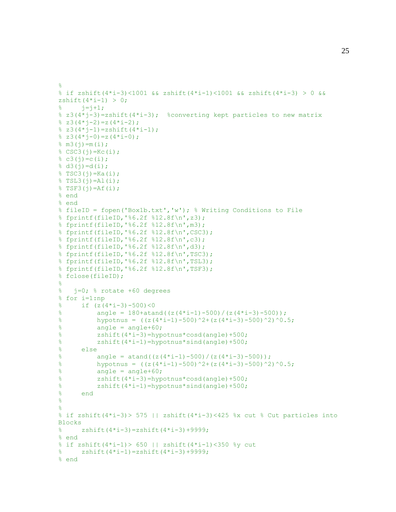```
% if zshift(4*i-3)<1001 && zshift(4*i-1)<1001 && zshift(4*i-3) > 0 && 
zshift(4 \times i - 1) > 0;
\frac{1}{6} \frac{1}{1} = \frac{1}{1} + 1;\frac{1}{2} z3(4*j-3)=zshift(4*i-3); \frac{1}{2} converting kept particles to new matrix
\frac{1}{6} z 3 (4 * j - 2) = z (4 * j - 2);
8 z3(4 * j - 1) = zshift(4 * i - 1);\frac{1}{6} z3(4*j-0)=z(4*i-0);
% \text{ m3}(j) = m(i);SCSC3(j) = Kc(i);\frac{1}{6} c3(j)=c(i);
% d3(j)=d(i);$ TSC3(j) = Ka(i);$TSL3(j)=AL(i);$TSF3(j)=Af(i);% end
% end 
% fileID = fopen('Box1b.txt','w'); % Writing Conditions to File
% fprintf(fileID,'%6.2f %12.8f\n',z3);
% fprintf(fileID,'%6.2f %12.8f\n',m3);
% fprintf(fileID,'%6.2f %12.8f\n',CSC3);
% fprintf(fileID,'%6.2f %12.8f\n',c3);
% fprintf(fileID,'%6.2f %12.8f\n',d3);
% fprintf(fileID,'%6.2f %12.8f\n',TSC3);
% fprintf(fileID,'%6.2f %12.8f\n',TSL3);
% fprintf(fileID,'%6.2f %12.8f\n',TSF3);
% fclose(fileID);
\frac{8}{6}% j=0; % rotate +60 degrees 
% for i=1:np
\text{if} (z(4*i-3)-500)<0
% angle = 180 + \text{atand}((z(4 \times i-1)-500)/(z(4 \times i-3)-500));% hypotnus = ((z(4+i-1)-500)^2+(z(4+i-3)-500)^2)<sup>0</sup>.5;
% angle = angle+60;
% zshift(4*i-3)=hypotnus*cosd(angle)+500;
% zshift(4*i-1)=hypotnus*sind(angle)+500;
% else
% angle = atand ((z(4+i-1)-500)/(z(4+i-3)-500));
% hypotnus = ((z(4+i-1)-500)^2+2+(z(4+i-3)-500)^2)% angle = angle+60;
\frac{1}{2} zshift(4*i-3)=hypotnus*cosd(angle)+500;
% zshift(4*i-1)=hypotnus*sind(angle)+500;
% end 
\epsilon\approx% if zshift(4 \times i - 3) > 575 || zshift(4 \times i - 3) <425 %x cut % Cut particles into
Blocks
% zshift(4*i-3)=zshift(4*i-3)+9999;% end
% if zshift(4*i-1)> 650 || zshift(4*i-1)<350 %y cut
% zshift(4*i-1)=zshift(4*i-3)+9999;% end
```
 $\approx$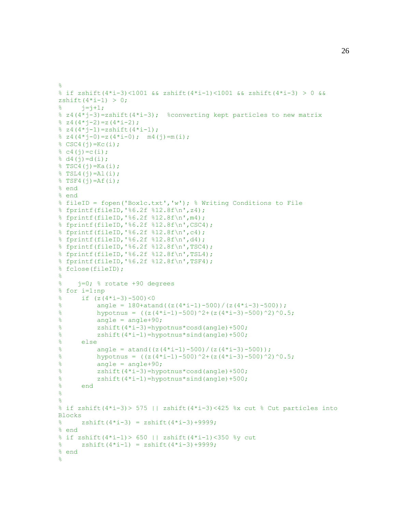```
\leq% if zshift(4*i-3)<1001 && zshift(4*i-1)<1001 && zshift(4*i-3) > 0 && 
zshift(4 \times i - 1) > 0;
\frac{1}{6} \frac{1}{1} = \frac{1}{1} + 1;\frac{1}{2} z4(4*j-3)=zshift(4*i-3); \frac{1}{2} converting kept particles to new matrix
\frac{1}{6} z4(4*j-2)=z(4*i-2);
\frac{1}{2} z4(4*j-1)=zshift(4*i-1);
\frac{1}{2} z 4 (4 * j - 0) = z (4 * i - 0); m4 ( j) = m (i);
% CSC4(j)=Kc(i);
\frac{1}{6} c4(j)=c(i);
\frac{1}{6} d4(j)=d(i);
$TSC4(j)=Ka(i);$TSL4(j)=Al(i);\sqrt[8]{TSF4(i)} = Af(i);% end
% end 
% fileID = fopen('Box1c.txt','w'); % Writing Conditions to File
% fprintf(fileID,'%6.2f %12.8f\n',z4);
% fprintf(fileID,'%6.2f %12.8f\n',m4);
% fprintf(fileID,'%6.2f %12.8f\n',CSC4);
% fprintf(fileID,'%6.2f %12.8f\n',c4);
% fprintf(fileID,'%6.2f %12.8f\n',d4);
% fprintf(fileID,'%6.2f %12.8f\n',TSC4);
% fprintf(fileID,'%6.2f %12.8f\n',TSL4);
% fprintf(fileID,'%6.2f %12.8f\n',TSF4);
% fclose(fileID);
\frac{8}{6}% j=0; % rotate +90 degrees 
% for i=1:np
\text{if} (z(4+i-3)-500) < 0% angle = 180 + \text{atand}((z(4 \times i-1)-500)/(z(4 \times i-3)-500));% hypotnus = ((z(4+i-1)-500)^2+(z(4+i-3)-500)^2)% angle = angle+90;
% zshift(4*i-3)=hypotnus*cosd(angle)+500;
% zshift(4*i-1)=hypotnus*sind(angle)+500;
% else
% angle = atand((z(4+i-1)-500)/(z(4+i-3)-500));
% hypotnus = ((z(4+i-1)-500)^2+2+(z(4+i-3)-500)^2)% angle = angle+90;
% zshift(4*i-3)=hypotnus*cosd(angle)+500;
\frac{1}{2} zshift(4*i-1)=hypotnus*sind(angle)+500;
% end 
\approx\approx% if zshift(4*i-3) > 575 || zshift(4*i-3) <425 %x cut % Cut particles into
Blocks
% zshift(4* i - 3) = zshift(4* i - 3)+9999;
% end
% if zshift(4*i-1)> 650 || zshift(4*i-1)<350 %y cut
% zshift(4* i-1) = zshift(4* i-3)+9999;
% end
\approx
```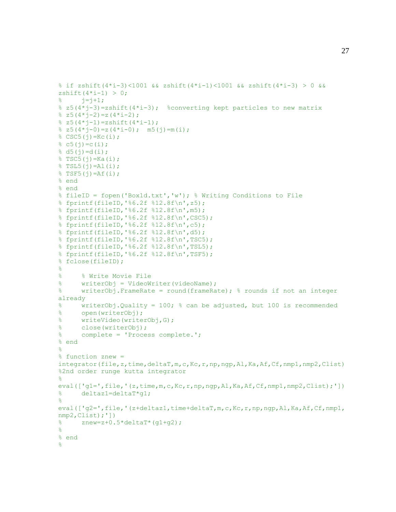```
% if zshift(4*i-3)<1001 && zshift(4*i-1)<1001 && zshift(4*i-3) > 0 && 
zshift(4 \times i - 1) > 0;
\frac{1}{6} \frac{1}{1} = \frac{1}{1} + 1;\frac{1}{2} z5(4*j-3)=zshift(4*i-3); \frac{1}{2} converting kept particles to new matrix
\frac{1}{6} z5(4*j-2)=z(4*i-2);
\frac{1}{2} z5(4*j-1)=zshift(4*i-1);
\frac{1}{2} z5(4*j-0)=z(4*i-0); m5(j)=m(i);
% CSC5(j)=Kc(i);
\frac{1}{6} c5(j)=c(i);
\frac{1}{6} d5(j)=d(i);
$TSC5(j)=Ka(i);$TSL5(j)=Al(i);$TSF5(j)=Af(i);% end
% end 
% fileID = fopen('Box1d.txt','w'); % Writing Conditions to File
% fprintf(fileID,'%6.2f %12.8f\n',z5);
% fprintf(fileID,'%6.2f %12.8f\n',m5);
% fprintf(fileID,'%6.2f %12.8f\n',CSC5);
% fprintf(fileID,'%6.2f %12.8f\n',c5);
% fprintf(fileID,'%6.2f %12.8f\n',d5);
% fprintf(fileID,'%6.2f %12.8f\n',TSC5);
% fprintf(fileID,'%6.2f %12.8f\n',TSL5);
% fprintf(fileID,'%6.2f %12.8f\n',TSF5);
% fclose(fileID);
\frac{8}{6}% % Write Movie File
% writerObj = VideoWriter(videoName);
% writerObj.FrameRate = round(frameRate); % rounds if not an integer 
already
% writerObj.Quality = 100; % can be adjusted, but 100 is recommended
% open(writerObj);<br>% writeVideo(write
      writeVideo(writerObj,G);
% close(writerObj); 
% complete = 'Process complete.'; 
% end
\frac{6}{6}% function znew = 
integrator(file,z,time,deltaT,m,c,Kc,r,np,ngp,Al,Ka,Af,Cf,nmp1,nmp2,Clist) 
%2nd order runge kutta integrator
% 
eval(['g1=',file,'(z,time,m,c,Kc,r,np,ngp,Al,Ka,Af,Cf,nmp1,nmp2,Clist);'])
% deltaz1=deltaT*g1;
\frac{8}{6}eval(['g2=',file,'(z+deltaz1,time+deltaT,m,c,Kc,r,np,ngp,Al,Ka,Af,Cf,nmp1,
nmp2,Clist);'])
% znew=z+0.5*deltaT*(g1+g2);
\frac{8}{6}% end
\mathbf{Q}
```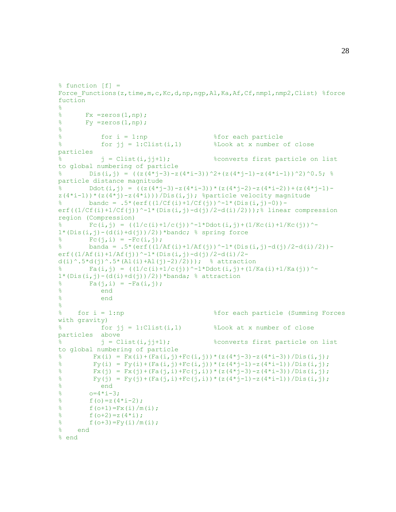```
% function [f] =Force Functions(z,time,m,c,Kc,d,np,ngp,Al,Ka,Af,Cf,nmp1,nmp2,Clist) %force
fuction
\approx\frac{1}{6} Fx =zeros(1,np);
\frac{1}{6} Fy =zeros(1,np);
\approx\frac{1}{2} for i = 1:np \frac{1}{2} for each particle
% for jj = 1:Clist(i,1) %Look at x number of close 
particles 
% j = Clist(i,jj+1); %converts first particle on list 
to global numbering of particle
% Dis(i,j) = ((z(4*j-3)-z(4*i-3))^2+(z(4*j-1)-z(4*i-1))^2)^0.5; %
particle distance magnitude
% Ddot(i,j) = ((z(4*j-3)-z(4*i-3))*(z(4*j-2)-z(4*i-2))+(z(4*j-1)-
z(4+i-1) * (z(4+i)-z(4+i)) / \sum is (i, j); %particle velocity magnitude
        bandc = .5*(erf((1/CF(i)+1/CF(j))^{\wedge}-1*(Dis(i,j)-0))-erf((1/Cf(i)+1/Cf(j))<sup>\sim-1*(Dis(i,j)-d(j)/2-d(i)/2)); % linear compression</sup>
region (Compression)
        Fc(i,j) = ((1/c(i)+1/c(i))^{\wedge}-1*Ddot(i,j)+(1/Kc(i)+1/Kc(i))^{\wedge}-11*(\text{Dis}(i,j)-\text{(d}(i)+\text{d}(j))/2)) *bandc; % spring force
\sqrt[3]{6} Fc(j, i) = -Fc(i, j);
% banda = .5*(erf((1/Af(i)+1/Af(j))^{\wedge}-1*(Dis(i,j)-d(j)/2-d(i)/2))-
erf((1/Af(i)+1/Af(j))<sup>^</sup>-1*(Dis(i,j)-d(j)/2-d(i)/2-
d(i)^.5*d(j)^.5*(Al(i)+Al(j)-2)/2))); % attraction
% Fa(i,j) = ((1/c(i)+1/c(j))^-1*Ddot(i,j)+(1/Ka(i)+1/Ka(j))^-
1*(Dis(i,j)-(d(i)+d(j))/2))*banda; % attraction\frac{1}{6} Fa(j,i) = -Fa(i,j);
% end 
% end
\approx% for i = 1:np %for each particle (Summing Forces 
with gravity)
\frac{1}{2} for jj = 1:Clist(i,1) \frac{1}{2} & Look at x number of close
particles above
\frac{1}{3} = Clist(i,jj+1); \frac{1}{3} & converts first particle on list
to global numbering of particle
% Fx(i) = Fx(i)+(Fa(i,j)+Fc(i,j))*(z(4*j-3)-z(4*i-3))/Dis(i,j);
% Fy(i) = Fy(i) + (Fa(i,j) + Fc(i,j)) * (z(4*j-1) - z(4*i-1))/Dis(i,j);
% Fx(j) = Fx(j) + (Fa(j, i) + Fc(j, i)) * (z(4*j-3)-z(4*i-3))/Dis(i, j);
% Fy(j) = Fy(j) + (Fa(j,i) + Fc(j,i)) * (z(4*j-1) - z(4*i-1))/Dis(i,j);
% end 
\frac{1}{6} o=4*i-3;
\text{f}(o) = z(4 \cdot i - 2);
\frac{1}{6} f(o+1)=Fx(i)/m(i);
\text{f}(o+2) = z(4 \cdot i);\frac{1}{6} f(o+3)=Fy(i)/m(i);
% end
% end
```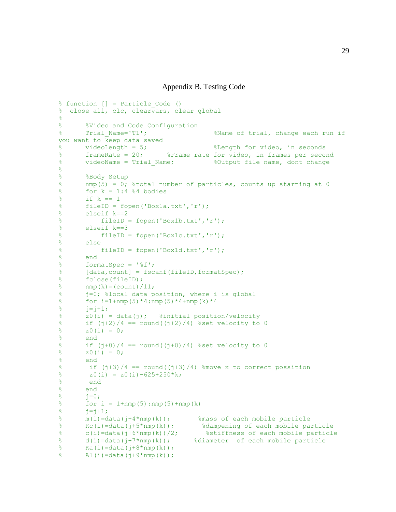Appendix B. Testing Code

```
% function [] = Particle_Code ()
% close all, clc, clearvars, clear global
\approx% %Video and Code Configuration
% Trial_Name='T1'; %Name of trial, change each run if 
you want to keep data saved
% videoLength = 5;<br>%Eength for video, in seconds<br>%Erame rate for video, in frames per seconds
       % frameRate = 20; %Frame rate for video, in frames per second
% videoName = Trial_Name; %Output file name, dont change
\delta% %Body Setup
% nmp(5) = 0; %total number of particles, counts up starting at 0
% for k = 1:4 % bodies
% if k == 1% fileID = fopen('Box1a.txt','r');
% elseif k==2
% fileID = fopen('Box1b.txt','r');
% elseif k==3
% fileID = fopen('Box1c.txt','r');
\frac{2}{3} else
          fileID = fopen('Box1d.txt','r');% end
% formatSpec = '%f';
% [data, count] = fscanf(fileID, formatSpec);
% fclose(fileID);
\textdegree nmp(k)=(count)/11;
% j=0; %local data position, where i is global
% for i=1+ nmp(5) * 4 : nmp(5) * 4 + nmp(k) * 4\frac{1}{6} \frac{1}{1} = \frac{1}{1} + 1;% z0(i) = data(j); %initial position/velocity 
\text{if} (j+2)/4 == round((j+2)/4) %set velocity to 0
\sqrt[8]{} z0(i) = 0;
% end
\text{if } (j+0)/4 == \text{round}((j+0)/4) \text{ set velocity to 0}\sqrt[3]{} z0(i) = 0;
% end
% if (j+3)/4 == round((j+3)/4) % move x to correct possition
\text{g} z0(i) = z0(i)-625+250*k;
% end
% end
\frac{1}{6} \frac{1}{2} = 0;
% for i = 1 + nmp(5) : nmp(5) + nmp(k)\frac{1}{6} \frac{1}{1} = \frac{1}{1} + 1;
\text{\%} m(i)=data(j+4*nmp(k)); \text{\%} mass of each mobile particle
% Kc(i)=data(j+5*nmp(k)); %dampening of each mobile particle
% c(i)=data(j+6*nmp(k))/2; %stiffness of each mobile particle
% d(i)=data(j+7*nmp(k)); %diameter of each mobile particle
% Ka(i)=data(j+8*nmp(k));
\text{Al}(i) = \text{data}(j + 9 \times \text{nmp}(k));
```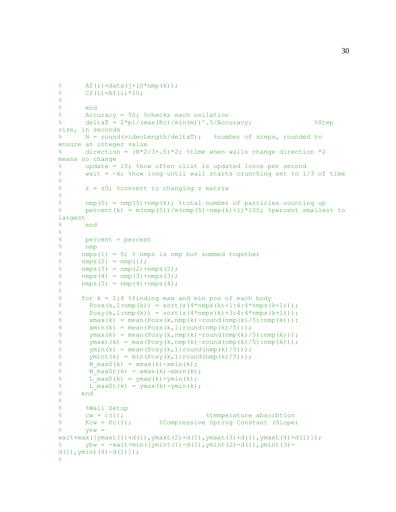```
% A f(i) = data(j+10*nmp(k));\text{Cf}(i) = Af(i) * 10;\approx% end
% Accuracy = 50; %checks each osilation 
% deltaT = 2*pi/ (max (Kc)/min(m)) ^.5/Accuracy; %Step
size, in seconds 
% N = round(videoLength/deltaT); %number of steps, rounded to 
ensure an integer value
% direction = (N*2/3+.5)*2; %time when walls change direction *2means no change
% update = 10; %how often clist is updated 1once per second
% wait = -4; %how long until wall starts crunching set to 1/3 of time
% 
% z = z0; %convert to changing z matrix
\approx% nmp(5) = nmp(5)+nmp(k); %total number of particles counting up
% percent(k) = m(nmp(5)) / m(nmp(5)-nmp(k)+1)*100; %percent smallest to
largest
% end
\approx% percent = percent<br>% nmp
      nmp
% nmps(1) = 0; % nmps is nmp but summed together
\frac{1}{6} nmps(2) = nmp(1);
% nmps(3) = nmp(2)+nmps(2);
% nmps(4) = nmp(3)+nmps(3);
% nmps(5) = nmp(4) + nmps(4);
\approx% for k = 1:4 %finding max and min pos of each body
\frac{1}{2} Posx(k, 1:nmp(k)) = sort(z(4*nmps(k)+1:4:4*nmps(k+1)));
% Posy(k,1:nmp(k)) = sort(z(4*nmps(k)+3:4:4*nmps(k+1)));
% xmax(k) = mean(Posx(k, nmp(k)-round(nmp(k)/5): nmp(k)));
% xmin(k) = mean(Posx(k,1:round(nmp(k)/5)));
% \gammamax(k) = mean(Posy(k,nmp(k)-round(nmp(k)/5):nmp(k)));
% ymaxt(k) = max(Posy(k,nmp(k)-round(nmp(k)/5):nmp(k)));
% \gammamin(k) = mean(Posy(k, 1: round(nmp(k)/5)));
% \gamma ymint(k) = min(Posy(k, 1: round(nmp(k)/5));
% W_max0(k) = xmax(k)-xmin(k);
% \overline{W} max0t(k) = xmax(k)-xmin(k);
% L max0(k) = \text{ymax}(k) - \text{ymin}(k);% L max0t(k) = ymax(k)-ymin(k);
% end
\delta% %Wall Setup
% cw = c(1); %temperature absorbtion
% Kcw = Kc(1); %Compressive Spring Constant (Slope)
% ytw =wait + max([ymaxt(1)+d(1), ymaxt(2)+d(1), ymaxt(3)+d(1), ymaxt(4)+d(1)]);% ybw = -wait+min([ymint(1)-d(1),ymint(2)-d(1),ymint(3)-
d(1), ymint(4) - d(1)]);
%
```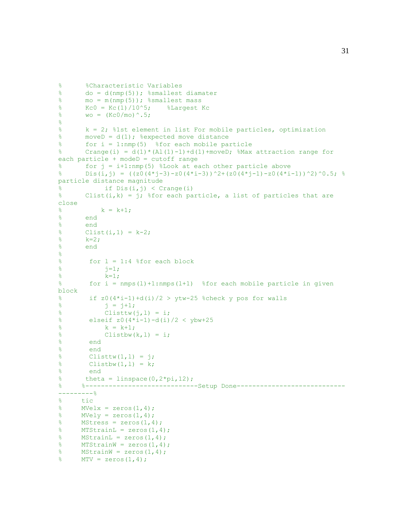```
% %Characteristic Variables
% do = d(nmp(5)); %smallest diamater
% mo = m(nmp(5)); %smallest mass
% Kc0 = Kc(1)/10^5; %Largest Kc
% wo = (Kc0/m0)^{2}.5;
\frac{6}{5}% k = 2; %1st element in list For mobile particles, optimization
% moveD = d(1); %expected move distance
% for i = 1:nmp(5) %for each mobile particle
% Crange(i) = d(1) * (A1(1)-1)+d(1)+moveD; %Max attraction range for
each particle + modeD = cutoff range
% for j = i+1:nmp(5) %Look at each other particle above
% Dis(i,j) = ((z0(4*j-3)-z0(4*i-3))^2+(z0(4*j-1)-z0(4*i-1))^2)^0.5; %
particle distance magnitude
\frac{1}{6} if Dis(i, j) < Crange(i)% Clist(i,k) = j; % for each particle, a list of particles that are
close 
% k = k+1;% end
% end
\{8 Clist(i, 1) = k-2;
\frac{8}{6} k=2;
% end
\approx% for l = 1:4 % for each block
\frac{1}{2} \frac{1}{2} \frac{1}{2} \frac{1}{2} \frac{1}{2} \frac{1}{2} \frac{1}{2} \frac{1}{2} \frac{1}{2} \frac{1}{2} \frac{1}{2} \frac{1}{2} \frac{1}{2} \frac{1}{2} \frac{1}{2} \frac{1}{2} \frac{1}{2} \frac{1}{2} \frac{1}{2} \frac{1}{2} \frac{1}{2} \frac{1}{2} \frac{1}{8} k=1;
% for i = nmps(l)+1:nmps(l+1) %for each mobile particle in given 
block
% if z0(4+i-1)+d(i)/2 > ytw-25 %check y pos for walls
\frac{1}{3} = j + 1;\% Clisttw(j, l) = i;
% elseif z0(4+i-1)-d(i)/2 < ybw+25\frac{1}{6} k = k+1;
% Clistbw(k, l) = i;
% end
% end
\text{Clisttw}(1,1) = \text{i};\% Clistbw(1,1) = k;
% end
% theta = linspace(0,2*pi,12);
% %--------------------------------Setup Done-----------------------------------
---------% 
% tic
% MVelx = zeros(1, 4);
% MVely = zeros(1, 4);
% MStress = zeros(1,4);
% MTStrainL = zeros(1, 4);
% MStrainL = zeros(1, 4);
% MTStrainW = zeros(1, 4);
% MStrainW = zeros(1, 4);
\sqrt[8]{} MTV = zeros(1,4);
```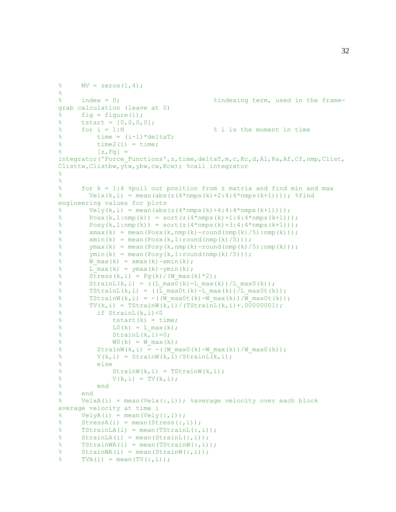```
% MV = zeros(1,4);
\approx% index = 0; %indexing term, used in the frame-
grab calculation (leave at 0)
% fig = figure(1);
% tstart = [0,0,0,0];
% for i = 1:N % i is the moment in time
\% time = (i-1)*deltaT;
% time2(i) = time;
\{z, Fq\} =integrator('Force_Functions',z,time,deltaT,m,c,Kc,d,Al,Ka,Af,Cf,nmp,Clist,
Clisttw,Clistbw,ytw,ybw,cw,Kcw); %call integrator
% 
% 
% for k = 1:4 %pull out position from z matrix and find min and max
% Velx(k,i) = mean(abs(z(4*nmps(k)+2:4:4*nmps(k+1)))); %find
engineering values for plots
% Vely(k, i) = mean(abs(z(4*nmps(k)+4:4:4*nmps(k+1))));
\frac{1}{2} Posx(k, 1:nmp(k)) = sort(z(4*nmps(k)+1:4:4*nmps(k+1)));
\frac{1}{2} Posy(k, 1:nmp(k)) = sort(z(4*nmps(k)+3:4:4*nmps(k+1)));
% xmax(k) = mean(Posx(k, nmp(k)-round(nmp(k)/5): nmp(k)));
% xmin(k) = mean(Posx(k,1:round(nmp(k)/5)));
% ymax(k) = mean(Posy(k,nmp(k)-round(nmp(k)/5):nmp(k)));
\frac{1}{2} ymin(k) = mean(Posy(k, 1: round(nmp(k)/5));
% W_max(k) = xmax(k)-xmin(k);
% L max(k) = \gammamax(k)-\gammamin(k);
% Stress(k, i) = Fq(k)/(W max(k)*2);
\frac{1}{6} StrainL(k,i) = ((L_max0(k)-L_max(k))/L_max0(k));
% TStrainL(k,i) = ((L_max0t(k)-L_max(k))/L_max0t(k));
% TStrainW(k,i) = -((W\max0t(k)-W\max(k))/W\max0t(k));% TV(k, i) = TStrainW(k, i) / (TStrainL(k, i) + .000000001);
% if StrainL(k,i)<0
% \frac{1}{2} tstart(k) = time;
% L0(k) = L max(k);\text{StrainL}(k, i) = 0;% W0(k) = W max(k);% StrainW(k,i) = -((W_max0(k)-W_max(k))/W_max0(k));
\text{V}(k, i) = \text{StrainW}(k, i) / \text{StrainL}(k, i);% else
\text{StrainW}(k, i) = \text{TStrainW}(k, i);\sqrt[3]{(k, i)} = TV(k, i);% end
% end
% VelxA(i) = mean(Velx(:,i)); %average velocity over each block 
average velocity at time i
% VelyA(i) = mean(Vely(:,i));
% StressA(i) = mean(Stress(:,i));
% TStrainLA(i) = mean(TStrainL(:,i));
% StrainLA(i) = mean(StrainL(:,i));
% TStrainWA(i) = mean(TStrainW(:,i));
% StrainWA(i) = mean(StrainW(:,i));
\sqrt[8]{ } TVA(i) = mean(TV(:,i));
```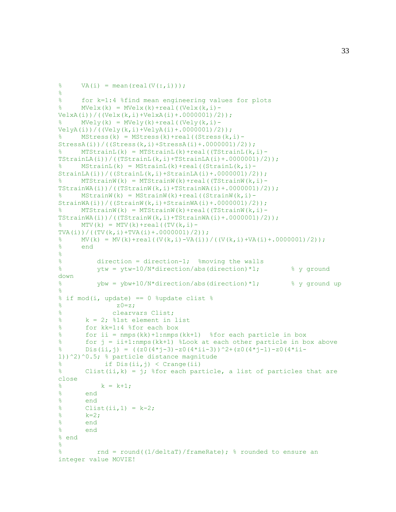```
\% VA(i) = mean(real(V(:,i)));
\approx% for k=1:4 %find mean engineering values for plots
% MVelx(k) = MVelx(k)+real((Velx(k,i)-
VelxA(i))/((Velx(k,i)+VelxA(i)+.0000001)/2));
      MVely(k) = MVely(k) + real((Vely(k, i) -VelyA(i)) / ((Vely(k,i)+VelyA(i)+.0000001)/2));
% MStress(k) = MStress(k)+real((Stress(k,i)-
StressA(i)) / ((Stress(k,i)+StressA(i)+.0000001)/2));\% MTStrainL(k) = MTStrainL(k)+real((TStrainL(k,i)-
TStrainLA(i))/((TStrainL(k,i)+TStrainLA(i)+.0000001)/2));
% MStrainL(k) = MStrainL(k)+real((StrainL(k,i)-
StrainLA(i))/((StrainL(k,i)+StrainLA(i)+.0000001)/2));
      MTStrainW(k) = MTStrainW(k) + real((TStrainW(k,i)-TStrainWA(i)) / ((TStrainW(k, i) + TStrainWA(i) + .0000001) / 2));
% MStrainW(k) = MStrainW(k)+real((StrainW(k,i)-
StrainWA(i))/((StrainW(k,i)+StrainWA(i)+.0000001)/2);
      MTStrainW(k) = MTStrainW(k) + real ((TStrainW(k,i) -TStrainWA(i)) / ((TStrainW(k,i) + TStrainWA(i) + .0000001)/2));
      MTV(k) = MTV(k) + real((TV(k, i) -TVA(i))/((TV(k,i)+TVA(i)+.0000001)/2));
% MV(k) = MV(k)+real((V(k,i)-VA(i))/((V(k,i)+VA(i)+.0000001)/2));
% end
% 
% direction = direction-1; %moving the walls
% ytw = ytw-10/N*direction/abs(direction)*1; % y ground 
down
% ybw = ybw+10/N*direction/abs(direction)*1; % y ground up
\approx% if mod(i, update) == 0 % update clist %\frac{1}{20} \frac{1}{20} \frac{1}{20} \frac{1}{20} \frac{1}{20} \frac{1}{20} \frac{1}{20} \frac{1}{20} \frac{1}{20} \frac{1}{20} \frac{1}{20} \frac{1}{20} \frac{1}{20} \frac{1}{20} \frac{1}{20} \frac{1}{20} \frac{1}{20} \frac{1}{20} \frac{1}{20} \frac{1}{20} % clearvars Clist;
% k = 2; %1st element in list% for kk=1:4 %for each box
% for ii = nmps(kk)+1:nmps(kk+1) %for each particle in box
% for j = ii+1:nmps(kk+1) %Look at each other particle in box above
% Dis(ii,j) = ((z0(4*1-3)-z0(4*1i-3))^2+(z0(4*1-1)-z0(4*1i-1))^2)^0.5; % particle distance magnitude
% if Dis(ii,j) < Crange(ii)
% Clist(ii, k) = j; % for each particle, a list of particles that are
close 
\frac{1}{6} k = k+1;
% end
% end
% Clist(ii, 1) = k-2;
% k=2;
% end
% end
% end
\frac{8}{6}% rnd = round((1/deltaT)/frameRate); % rounded to ensure an 
integer value MOVIE!
```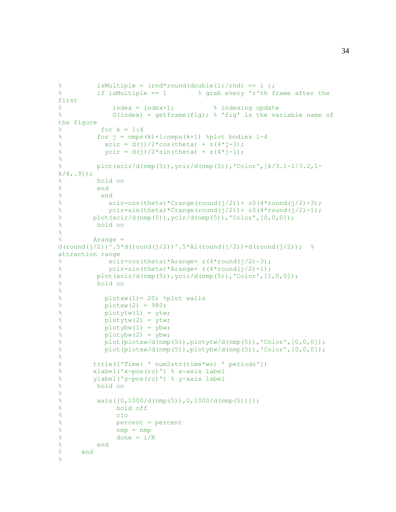```
% isMultiple = (rnd*round(double(i)/rnd) == i);
% if isMultiple == 1 % grab every 'r'th frame after the 
first
\frac{1}{8} index = index +1; \frac{1}{8} indexing update
% G(index) = getframe(fig); % 'fig' is the variable name of 
the figure
% for k = 1:4% for j = nmps(k)+1:nmps(k+1) %plot bodies 1-4% xcir = d(j)/2 * cos(theta) + z(4 * j-3);% \text{ycir} = d(j)/2 * \sin(\text{theta}) + z(4 * j - 1);% 
% plot(xcir/d(nmp(5)),ycir/d(nmp(5)),'Color',[k/3.1-1/3.2,1-
k/4, .9];
% hold on
% end
% end
% x \text{circ} = \text{cos}(\text{theta}) * \text{Crange}(\text{round}(j/2)) + z0(4 * \text{round}(j/2) - 3);% \gamma \text{circ-sin}(\text{theta}) * \text{Crange}(\text{round}(j/2)) + z0(4 * \text{round}(j/2)-1);% plot(xcir/d(nmp(5)), ycir/d(nmp(5)), 'Color, [0,0,0]);
% hold on
\approx% Arange = 
d(round(j/2))^.5*d(round(j/2))^.5*Al(round(j/2))+d(round(j/2)); %
attraction range
% \frac{2}{3} \frac{x \text{circ}(t) + \text{cos}(t)}{x \text{cos}(t)} \frac{x \text{cos}(t) - \text{cos}(t)}{x \text{cos}(t)} \frac{1}{2} \frac{1}{2} \frac{1}{2} \frac{1}{2} \frac{1}{2} \frac{1}{2} \frac{1}{2} \frac{1}{2} \frac{1}{2} \frac{1}{2} \frac{1}{2} \frac{1}{2} \frac{1}{2} \frac{1}{2} \frac{1}{2}% \gammacir=sin(theta)*Arange+ z(4*round(j/2)-1);
% plot(xcir/d(nmp(5)), ycir/d(nmp(5)), 'Color, [1,0,0];
% hold on
% 
% plotxw(1)= 20; %plot walls
% plotxw(2) = 980;
\% plotytw(1) = ytw;
\text{P}_{\text{S}} plotytw(2) = ytw;
\% plotybw(1) = ybw;
\text{P}_{\text{adv}}(2) = \text{ybw};
% plot(plotxw/d(nmp(5)),plotytw/d(nmp(5)),'Color',[0,0,0]);
% plot(plotxw/d(nmp(5)),plotybw/d(nmp(5)),'Color',[0,0,0]);
\frac{8}{6}% title(['Time: ' num2str(time*wo) ' periods'])
% xlabel('x-pos(rc)') % x-axis label
% ylabel('y-pos(rc)') % y-axis label
% hold on
\frac{1}{2}% axis([0,1000/d(nmp(5)),0,1000/d(nmp(5))]);
% hold off 
% clc
% percent = percent
% nmp = nmp
\% done = i/N
% end
% end 
\approx
```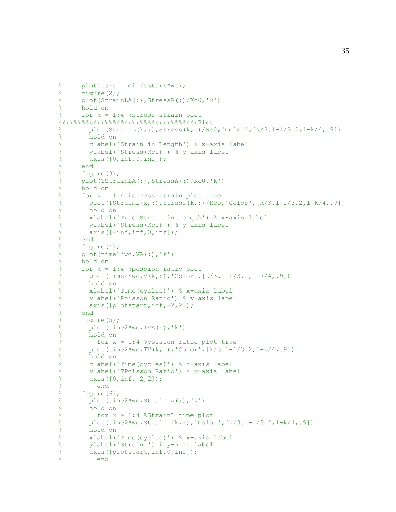```
% plotstart = min(tstart*wo);
% figure(2);
% plot(StrainLA(:),StressA(:)/Kc0,'k')
% hold on
% for k = 1:4 %stress strain plot 
8888888888888888888888888888888810t% plot(StrainL(k,:),Stress(k,:)/Kc0,'Color',[k/3.1-1/3.2,1-k/4,.9])
% hold on
% xlabel('Strain in Length') % x-axis label
% ylabel('Stress(Kc0)') % y-axis label
% axis([0, inf, 0, inf]);
% end
% figure(3);
% plot(TStrainLA(:),StressA(:)/Kc0,'k')
% hold on
% for k = 1:4 %stress strain plot true
% plot(TStrainL(k,:),Stress(k,:)/Kc0,'Color',[k/3.1-1/3.2,1-k/4,.9])
% hold on
% xlabel('True Strain in Length') % x-axis label
% ylabel('Stress(Kc0)') % y-axis label
% axis([-inf, inf, 0, inf]);
% end
% figure(4);
\% plot(time2*wo, VA(:), 'k')
% hold on
% for k = 1:4 %possion ratio plot
% plot(time2*wo, V(k,:), 'Color', [k/3.1-1/3.2, 1-k/4, .9])
% hold on
% xlabel('Time(cycles)') % x-axis label
% ylabel('Poisson Ratio') % y-axis label
% axis([plotstart,inf,-2,2]);
% end
% figure(5);
% plot(time2*wo,TVA(:),'k')
% hold on
% for k = 1:4 %possion ratio plot true
% plot(time2*wo,TV(k,:),'Color',[k/3.1-1/3.2,1-k/4,.9])
% hold on
% xlabel('Time(cycles)') % x-axis label
% ylabel('TPoisson Ratio') % y-axis label
% \frac{2}{3} axis([0, \text{inf}, -2, 2]);
% end
% figure(6);
% plot(time2*wo,StrainLA(:),'k')
% hold on
% for k = 1:4 %StrainL time plot
% plot(time2*wo,StrainL(k,:),'Color',[k/3.1-1/3.2,1-k/4,.9])
% hold on
% xlabel('Time(cycles)') % x-axis label
% ylabel('StrainL') % y-axis label
% axis([plotstart,inf,0,inf]);
% end
```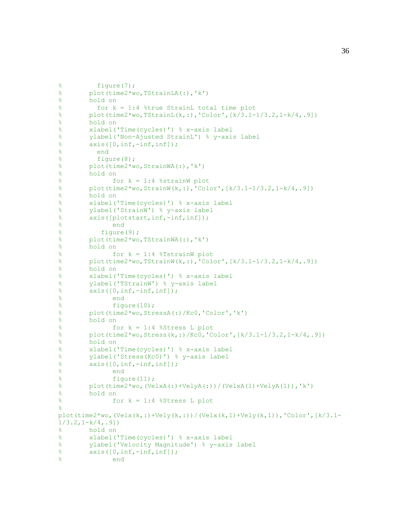```
% figure(7);
% plot(time2*wo,TStrainLA(:),'k')
% hold on
% for k = 1:4 %true StrainL total time plot
% plot(time2*wo,TStrainL(k,:),'Color',[k/3.1-1/3.2,1-k/4,.9])
% hold on
% xlabel('Time(cycles)') % x-axis label
% ylabel('Non-Ajusted StrainL') % y-axis label
% axis([0, inf, -inf, inf]);
% end
% figure(8);
% plot(time2*wo,StrainWA(:),'k')
% hold on
% for k = 1:4 %strainW plot
% plot(time2*wo,StrainW(k,:),'Color',[k/3.1-1/3.2,1-k/4,.9])
% hold on
% xlabel('Time(cycles)') % x-axis label
% ylabel('StrainW') % y-axis label
% axis([plotstart,inf,-inf,inf]);
% end
% figure(9);
% plot(time2*wo,TStrainWA(:),'k')
% hold on
% for k = 1:4 %TstrainW plot
% plot(time2*wo,TStrainW(k,:),'Color',[k/3.1-1/3.2,1-k/4,.9])
% hold on
% xlabel('Time(cycles)') % x-axis label
% ylabel('TStrainW') % y-axis label
% axis([0, inf, -inf, inf]);
% end
% figure(10);
% plot(time2*wo,StressA(:)/Kc0,'Color','k')
% hold on
% for k = 1:4 %Stress L plot
% plot(time2*wo,Stress(k,:)/Kc0,'Color',[k/3.1-1/3.2,1-k/4,.9])
% hold on
% xlabel('Time(cycles)') % x-axis label
% ylabel('Stress(Kc0)') % y-axis label
% axis([0, inf, -inf, inf]);
% end
% figure(11);
% plot(time2*wo,(VelxA(:)+VelyA(:))/(VelxA(1)+VelyA(1)),'k')
% hold on
% for k = 1:4 %Stress L plot
\approxplot(time2*wo, (Velx (k,:)+Vely (k,:))) / (Velx (k,1)+Vely (k,1)),'Color',[k/3.1-1/3.2, 1-k/4, .9]% hold on
% xlabel('Time(cycles)') % x-axis label
% ylabel('Velocity Magnitude') % y-axis label
% axis([0, inf, -inf, inf]);
% end
```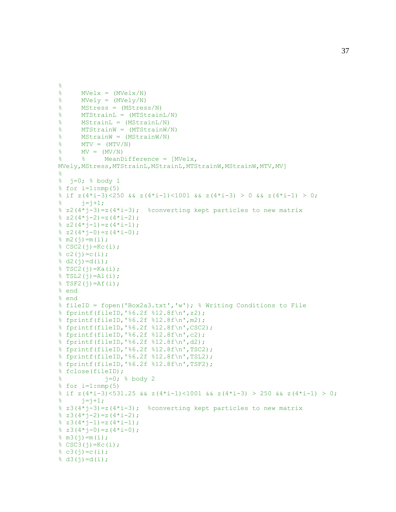```
% 
% MVelx = (MVelx/N)
% MVely = (MVely/N)
% MStress = (MStress/N)
% MTStrainL = (MTStrainL/N)
% MStrainL = (MStrainL/N)
% MTStrainW = (MTStrainW/N)
% MStrainW = (MStrainW/N)
\textdegree MTV = (MTV/N)
\sqrt[8]{\frac{1}{8}} MV = (MV/N)
% % MeanDifference = [MVelx, 
MVely, MStress, MTStrainL, MStrainL, MTStrainW, MStrainW, MTV, MV]
% 
% j=0; % body 1 
% for i=1: nmp(5)% if z(4+i-3) <250 && z(4+i-1) <1001 && z(4+i-3) > 0 && z(4+i-1) > 0;
\frac{1}{6} \frac{1}{7} = \frac{1}{7} + 1;
% z(4+j-3) = z(4+i-3); %converting kept particles to new matrix
\frac{1}{6} z2(4*j-2)=z(4*i-2);
\frac{1}{2} z2(4*j-1)=z(4*i-1);
\text{ }8 \text{ }z2(4 \times j - 0) = z(4 \times i - 0);% m2(j) = m(i);% CSC2(j)=Kc(i);
\frac{1}{6} c2(i)=c(i);
\frac{1}{6} d2(j)=d(i);
% TSC2(j)=Ka(i);
$ TSL2(j) = Al(i);$TSF2(j)=Af(i);% end
% end 
% fileID = fopen('Box2a3.txt','w'); % Writing Conditions to File
% fprintf(fileID,'%6.2f %12.8f\n',z2);
% fprintf(fileID,'%6.2f %12.8f\n',m2);
% fprintf(fileID,'%6.2f %12.8f\n',CSC2);
% fprintf(fileID,'%6.2f %12.8f\n',c2);
% fprintf(fileID,'%6.2f %12.8f\n',d2);
% fprintf(fileID,'%6.2f %12.8f\n',TSC2);
% fprintf(fileID,'%6.2f %12.8f\n',TSL2);
% fprintf(fileID,'%6.2f %12.8f\n',TSF2);
% fclose(fileID);
\frac{1}{8} i=0; \frac{8}{8} body 2
% for i=1: nmp(5)\frac{1}{2} if z(4*i-3)<531.25 && z(4*i-1)<1001 && z(4*i-3) > 250 && z(4*i-1) > 0;
\frac{1}{6} \frac{1}{7} = \frac{1}{7} + 1;
% z3(4+j-3)=z(4+i-3); %converting kept particles to new matrix
\frac{1}{6} z3(4*j-2)=z(4*i-2);
\frac{1}{6} z3(4*j-1)=z(4*i-1);
\frac{1}{6} z3(4*j-0)=z(4*i-0);
% m3(j) = m(i);% CSC3(j)=Kc(i);
\frac{1}{6} c3(j)=c(i);
\frac{1}{6} d3(j)=d(i);
```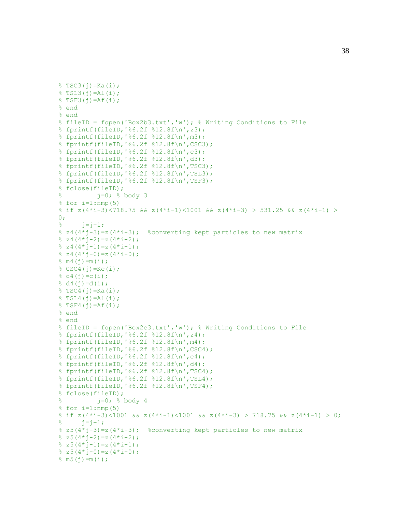```
$TSC3(j)=Ka(i);$TSL3(j)=Al(i);$TSF3(i)=Af(i);% end
% end 
% fileID = fopen('Box2b3.txt','w'); % Writing Conditions to File
% fprintf(fileID,'%6.2f %12.8f\n',z3);
% fprintf(fileID,'%6.2f %12.8f\n',m3);
% fprintf(fileID,'%6.2f %12.8f\n',CSC3);
% fprintf(fileID,'%6.2f %12.8f\n',c3);
% fprintf(fileID,'%6.2f %12.8f\n',d3);
% fprintf(fileID,'%6.2f %12.8f\n',TSC3);
% fprintf(fileID,'%6.2f %12.8f\n',TSL3);
% fprintf(fileID,'%6.2f %12.8f\n',TSF3);
% fclose(fileID);
% j=0; % body 3 
% for i=1: nmp(5)% if z(4+i-3)<718.75 && z(4+i-1)<1001 && z(4+i-3) > 531.25 && z(4+i-1) >
0;\frac{1}{6} \frac{1}{1} = \frac{1}{1} + 1;\frac{1}{2} z4(4*j-3)=z(4*i-3); \frac{1}{2} converting kept particles to new matrix
\frac{1}{6} z4(4*j-2)=z(4*i-2);
\frac{1}{6} z 4 (4 * j - 1) = z (4 * i - 1);
\frac{1}{6} z4(4*i-0)=z(4*i-0);
% m4(j) = m(i);% CSC4(j)=Kc(i);
\frac{1}{6} c4(j)=c(i);
% d4(j)=d(i);$TSC4(j)=Ka(i);$TSL4(j)=Al(i);$TSF4(j)=Af(i);% end
% end 
% fileID = fopen('Box2c3.txt','w'); % Writing Conditions to File
% fprintf(fileID,'%6.2f %12.8f\n',z4);
% fprintf(fileID,'%6.2f %12.8f\n',m4);
% fprintf(fileID,'%6.2f %12.8f\n',CSC4);
% fprintf(fileID,'%6.2f %12.8f\n',c4);
% fprintf(fileID,'%6.2f %12.8f\n',d4);
% fprintf(fileID,'%6.2f %12.8f\n',TSC4);
% fprintf(fileID,'%6.2f %12.8f\n',TSL4);
% fprintf(fileID,'%6.2f %12.8f\n',TSF4);
% fclose(fileID);
\frac{1}{8} = 0; \frac{1}{8} body 4
% for i=1: nmp(5)% if z(4* i-3)<1001 && z(4* i-1)<1001 && z(4* i-3) > 718.75 && z(4* i-1) > 0;
\frac{1}{6} j=j+1;% z5(4+j-3)=z(4+i-3); %converting kept particles to new matrix
\frac{1}{6} z5(4*j-2)=z(4*i-2);
\frac{1}{2} z5(4*j-1)=z(4*i-1);
\frac{1}{6} z5(4*j-0)=z(4*i-0);
% \text{ m5}(j) = m(i);
```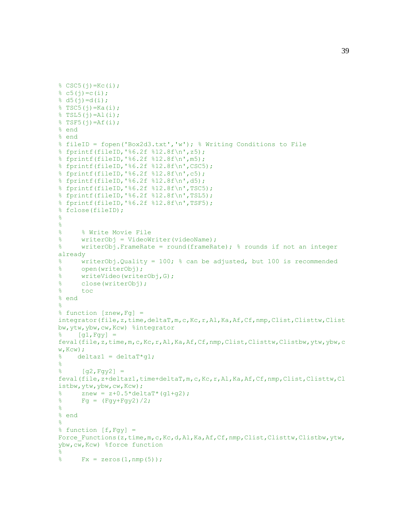```
% CSC5(j)=Kc(i);
\frac{1}{6} c5(j)=c(i);
\frac{1}{6} d5(j)=d(i);
$TSC5(j)=Ka(i);$TSL5(j)=Al(i);$TSF5(j)=Af(i);% end
% end 
% fileID = fopen('Box2d3.txt','w'); % Writing Conditions to File
% fprintf(fileID,'%6.2f %12.8f\n',z5);
% fprintf(fileID,'%6.2f %12.8f\n',m5);
% fprintf(fileID,'%6.2f %12.8f\n',CSC5);
% fprintf(fileID,'%6.2f %12.8f\n',c5);
% fprintf(fileID,'%6.2f %12.8f\n',d5);
% fprintf(fileID,'%6.2f %12.8f\n',TSC5);
% fprintf(fileID,'%6.2f %12.8f\n',TSL5);
% fprintf(fileID,'%6.2f %12.8f\n',TSF5);
% fclose(fileID);
\approx\frac{8}{\pi}% % Write Movie File
% writerObj = VideoWriter(videoName);
% writerObj.FrameRate = round(frameRate); % rounds if not an integer 
already
% writerObj.Quality = 100; % can be adjusted, but 100 is recommended
% open(writerObj);
% writeVideo(writerObj,G);
% close(writerObj); 
% toc 
% end
\approx% function [znew,Fg] = 
integrator(file,z,time,deltaT,m,c,Kc,r,Al,Ka,Af,Cf,nmp,Clist,Clisttw,Clist
bw,ytw,ybw,cw,Kcw) %integrator
\{g1, Fgy\} =feval(file,z,time,m,c,Kc,r,Al,Ka,Af,Cf,nmp,Clist,Clisttw,Clistbw,ytw,ybw,c
W, Kcw;
% deltaz1 = deltaT*q1;
\frac{8}{6}\{g2, Fgy2\} =feval(file,z+deltaz1,time+deltaT,m,c,Kc,r,Al,Ka,Af,Cf,nmp,Clist,Clisttw,Cl
istbw,ytw,ybw,cw,Kcw);
\text{R} znew = z+0.5*deltaT*(q1+q2);
\sqrt[3]{ } Fg = (Fgy+Fgy2)/2;
\frac{8}{6}% end
\frac{6}{5}% function [f, Fgy] =Force Functions(z,time,m,c,Kc,d,Al,Ka,Af,Cf,nmp,Clist,Clisttw,Clistbw,ytw,
ybw,cw,Kcw) %force function
\frac{8}{3}\frac{1}{6} Fx = zeros(1, nmp(5));
```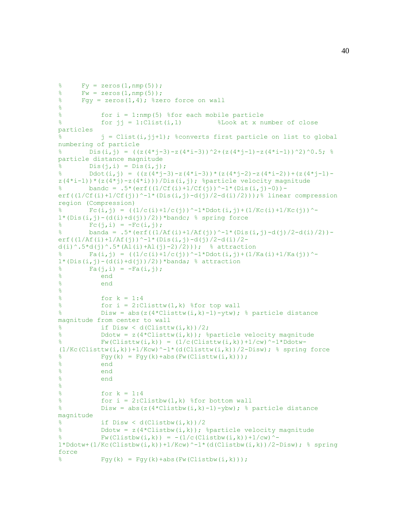```
\frac{1}{6} Fy = zeros(1, nmp(5));
% Fw = zeros(1, nmp(5));
\% Fqy = zeros(1,4); \%zero force on wall
\approx% for i = 1:nmp(5) %for each mobile particle
\text{for } j = 1:\text{Clist}(i,1) <br> \text{Look at } x number of close
particles 
% j = Clist(i,jj+1); %converts first particle on list to global 
numbering of particle
       Dis(i,j) = ((z(4*j-3)-z(4*i-3))^2+(z(4*j-1)-z(4*i-1))^2)^0.5; %
particle distance magnitude
\delta Dis(j,i) = Dis(i,j);
% Ddot(i,j) = ((z(4*j-3)-z(4*i-3))*(z(4*j-2)-z(4*i-2))+(z(4*j-1)-
z(4*i-1))*(z(4*j)-z(4*i)))/Dis(i,j); %particle velocity magnitude
% bandc = .5*(erf((1/CF(i)+1/CF(j)))^{\wedge}-1*(Dis(i,j)-0)) -
erf((1/Cf(i)+1/Cf(j))<sup>-1*</sup>(Dis(i,j)-d(j)/2-d(i)/2)));% linear compression
region (Compression)
        Fc(i,j) = ((1/c(i)+1/c(j))^{\wedge}-1*Ddot(i,j)+(1/Kc(i)+1/Kc(j))^{\wedge}-1^2Ddot(i,j))^{2}1*(Dis(i,j)-(d(i)+d(j))/2))*bandc; % spring force\mathcal{E} Fc(j, i) = -Fc(i, j);
% banda = .5*(erf((1/Af(i)+1/Af(j))^{\wedge}-1*(Dis(i,j)-d(j)/2-d(i)/2))-
erf((1/Af(i)+1/Af(j))<sup>^</sup>-1*(Dis(i,j)-d(j)/2-d(i)/2-
d(i)^.5*d(j)^.5*(Al(i)+Al(j)-2)/2))); % attraction
        FA(i,j) = ((1/c(i)+1/c(j))^{\wedge}-1*Ddot(i,j)+(1/Ka(i)+1/Ka(j))^{\wedge}-11*(\text{Dis}(i, j) - (d(i)+d(j))/2)) *banda; % attraction
\{\hat{z} = F_{a}(j, i) = -Fa(i, j);% end 
% end
\approx% for k = 1:4\text{\$} for i = 2:Clisttw(1,k) \text{\$for top wall}% Disw = abs(z(4*Clisttw(i, k)-1)-ytw); % particle distance
magnitude from center to wall
\frac{1}{2} if Disw < d(Clisttw(i,k))/2;
% Ddotw = z(4*Clisttw(i,k)); %particle velocity magnitude
% Fw(Clisttw(i,k)) = (1/c(Clisttw(i,k)) +1/cw)^{-1}*Ddotw-
(1/Kc(Clisttw(i,k))+1/Kcw)^{-1}*(d(Clisttw(i,k))/2-Disw); % spring force
\frac{1}{8} Fgy(k) = Fgy(k) +abs(Fw(Clisttw(i,k)));
% end
% end
% end
\approx% f{or k = 1:4}\% for i = 2:Clistbw(1,k) \frac{1}{2} for bottom wall
% Disw = abs(z(4*Clistbw(i, k)-1)-ybw); % particle distance
magnitude
\frac{1}{2} if Disw < d(Clistbw(i,k))/2
% Ddotw = z(4*Clistbw(i,k)); %particle velocity magnitude
% Fw(Clistbw(i,k)) = -(1/c(Clistbw(i,k))+1/cw)^{-1}1 * Ddotw + (1/Kc(Clistbw(i,k)) + 1/Kcw)^{-1} (d(Clistbw(i,k))/2-Disw); % spring
force
\frac{1}{8} Fgy(k) = Fgy(k) +abs(Fw(Clistbw(i,k)));
```